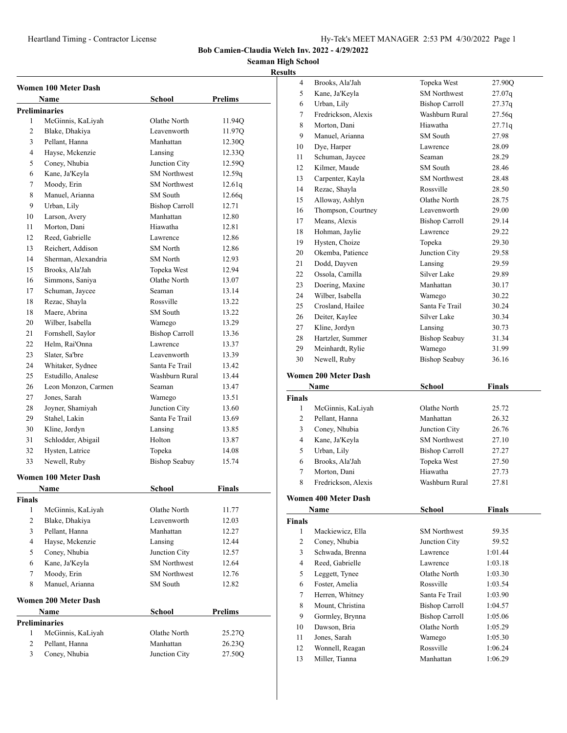#### **Seaman High School Result**

|                | Women 100 Meter Dash<br><b>Prelims</b><br>Name<br>School |                       |         |  |  |
|----------------|----------------------------------------------------------|-----------------------|---------|--|--|
|                | <b>Preliminaries</b>                                     |                       |         |  |  |
| 1              | McGinnis, KaLiyah                                        | Olathe North          | 11.94Q  |  |  |
| $\overline{c}$ | Blake, Dhakiya                                           | Leavenworth           | 11.97Q  |  |  |
| 3              | Pellant, Hanna                                           | Manhattan             | 12.30Q  |  |  |
| $\overline{4}$ | Hayse, Mckenzie                                          | Lansing               | 12.33Q  |  |  |
| 5              | Coney, Nhubia                                            | Junction City         | 12.59Q  |  |  |
| 6              | Kane, Ja'Keyla                                           | <b>SM</b> Northwest   | 12.59q  |  |  |
| 7              | Moody, Erin                                              | <b>SM Northwest</b>   | 12.61q  |  |  |
| 8              | Manuel, Arianna                                          | <b>SM</b> South       | 12.66q  |  |  |
| 9              | Urban, Lily                                              | <b>Bishop Carroll</b> | 12.71   |  |  |
| 10             | Larson, Avery                                            | Manhattan             | 12.80   |  |  |
| 11             | Morton, Dani                                             | Hiawatha              | 12.81   |  |  |
| 12             | Reed, Gabrielle                                          | Lawrence              | 12.86   |  |  |
| 13             | Reichert, Addison                                        | <b>SM</b> North       | 12.86   |  |  |
| 14             | Sherman, Alexandria                                      | <b>SM</b> North       | 12.93   |  |  |
| 15             | Brooks, Ala'Jah                                          | Topeka West           | 12.94   |  |  |
| 16             | Simmons, Saniya                                          | Olathe North          | 13.07   |  |  |
| 17             | Schuman, Jaycee                                          | Seaman                | 13.14   |  |  |
| 18             | Rezac, Shayla                                            | Rossville             | 13.22   |  |  |
| 18             | Maere, Abrina                                            | SM South              | 13.22   |  |  |
| 20             | Wilber, Isabella                                         | Wamego                | 13.29   |  |  |
| 21             | Fornshell, Saylor                                        | <b>Bishop Carroll</b> | 13.36   |  |  |
| 22             | Helm, Rai'Onna                                           | Lawrence              | 13.37   |  |  |
| 23             | Slater, Sa'bre                                           | Leavenworth           | 13.39   |  |  |
| 24             | Whitaker, Sydnee                                         | Santa Fe Trail        | 13.42   |  |  |
| 25             | Estudillo, Analese                                       | Washburn Rural        | 13.44   |  |  |
| 26             | Leon Monzon, Carmen                                      | Seaman                | 13.47   |  |  |
| 27             | Jones, Sarah                                             | Wamego                | 13.51   |  |  |
| 28             | Joyner, Shamiyah                                         | Junction City         | 13.60   |  |  |
| 29             | Stahel, Lakin                                            | Santa Fe Trail        | 13.69   |  |  |
| 30             | Kline, Jordyn                                            | Lansing               | 13.85   |  |  |
| 31             | Schlodder, Abigail                                       | Holton                | 13.87   |  |  |
| 32             | Hysten, Latrice                                          | Topeka                | 14.08   |  |  |
| 33             | Newell, Ruby                                             | <b>Bishop Seabuy</b>  | 15.74   |  |  |
|                |                                                          |                       |         |  |  |
|                | <b>Women 100 Meter Dash</b>                              |                       |         |  |  |
|                | Name                                                     | School                | Finals  |  |  |
| Finals         |                                                          |                       |         |  |  |
| 1              | McGinnis, KaLiyah                                        | Olathe North          | 11.77   |  |  |
| 2              | Blake, Dhakiya                                           | Leavenworth           | 12.03   |  |  |
| 3              | Pellant, Hanna                                           | Manhattan             | 12.27   |  |  |
| 4              | Hayse, Mckenzie                                          | Lansing               | 12.44   |  |  |
| 5              | Coney, Nhubia                                            | Junction City         | 12.57   |  |  |
| 6              | Kane, Ja'Keyla                                           | <b>SM</b> Northwest   | 12.64   |  |  |
| 7              | Moody, Erin                                              | <b>SM Northwest</b>   | 12.76   |  |  |
| 8              | Manuel, Arianna                                          | SM South              | 12.82   |  |  |
|                | <b>Women 200 Meter Dash</b>                              |                       |         |  |  |
|                | <b>Name</b>                                              | <b>School</b>         | Prelims |  |  |
|                | <b>Preliminaries</b>                                     |                       |         |  |  |
| 1              | McGinnis, KaLiyah                                        | Olathe North          | 25.27Q  |  |  |
| 2              | Pellant, Hanna                                           | Manhattan             | 26.23Q  |  |  |
| 3              | Coney, Nhubia                                            | Junction City         | 27.50Q  |  |  |

| sults              |                                     |                                       |                    |
|--------------------|-------------------------------------|---------------------------------------|--------------------|
| 4                  | Brooks, Ala'Jah                     | Topeka West                           | 27.90Q             |
| 5                  | Kane, Ja'Keyla                      | <b>SM</b> Northwest                   | 27.07q             |
| 6                  | Urban, Lily                         | <b>Bishop Carroll</b>                 | 27.37q             |
| 7                  | Fredrickson, Alexis                 | Washburn Rural                        | 27.56q             |
| 8                  | Morton, Dani                        | Hiawatha                              | 27.71q             |
| 9                  | Manuel, Arianna                     | SM South                              | 27.98              |
| 10                 | Dye, Harper                         | Lawrence                              | 28.09              |
| 11                 | Schuman, Jaycee                     | Seaman                                | 28.29              |
| 12                 | Kilmer, Maude                       | SM South                              | 28.46              |
| 13                 | Carpenter, Kayla                    | <b>SM</b> Northwest                   | 28.48              |
| 14                 | Rezac, Shayla                       | Rossville                             | 28.50              |
| 15                 | Alloway, Ashlyn                     | Olathe North                          | 28.75              |
| 16                 | Thompson, Courtney                  | Leavenworth                           | 29.00              |
| 17                 | Means, Alexis                       | <b>Bishop Carroll</b>                 | 29.14              |
| 18                 | Hohman, Jaylie                      | Lawrence                              | 29.22              |
| 19                 | Hysten, Choize                      | Topeka                                | 29.30              |
| 20                 | Okemba, Patience                    | Junction City                         | 29.58              |
| 21                 | Dodd, Dayven                        | Lansing                               | 29.59              |
| 22                 | Ossola, Camilla                     | Silver Lake                           | 29.89              |
| 23                 | Doering, Maxine                     | Manhattan                             | 30.17              |
| 24                 | Wilber, Isabella                    | Wamego                                | 30.22              |
| 25                 | Crosland, Hailee                    | Santa Fe Trail                        | 30.24              |
| 26                 | Deiter, Kaylee                      | Silver Lake                           | 30.34              |
| 27                 | Kline, Jordyn                       | Lansing                               | 30.73              |
| 28                 | Hartzler, Summer                    | <b>Bishop Seabuy</b>                  | 31.34              |
| 29                 | Meinhardt, Rylie                    | Wamego                                | 31.99              |
| 30                 | Newell, Ruby                        | <b>Bishop Seabuy</b>                  | 36.16              |
|                    |                                     |                                       |                    |
|                    | <b>Women 200 Meter Dash</b>         |                                       |                    |
|                    |                                     |                                       |                    |
|                    | Name                                | <b>School</b>                         | <b>Finals</b>      |
| <b>Finals</b>      |                                     |                                       |                    |
| 1                  | McGinnis, KaLiyah                   | Olathe North                          | 25.72              |
| 2                  | Pellant, Hanna                      | Manhattan                             | 26.32              |
| 3                  | Coney, Nhubia                       | Junction City                         | 26.76              |
| $\overline{4}$     | Kane, Ja'Keyla                      | <b>SM Northwest</b>                   | 27.10              |
| 5                  | Urban, Lily                         | <b>Bishop Carroll</b>                 | 27.27              |
| 6                  | Brooks, Ala'Jah                     | Topeka West                           | 27.50              |
| 7                  | Morton, Dani                        | Hiawatha                              | 27.73              |
| 8                  | Fredrickson, Alexis                 | Washburn Rural                        | 27.81              |
|                    | <b>Women 400 Meter Dash</b>         |                                       |                    |
|                    | Name                                | School                                | Finals             |
|                    |                                     |                                       |                    |
| <b>Finals</b><br>1 | Mackiewicz, Ella                    | <b>SM Northwest</b>                   | 59.35              |
| $\overline{c}$     |                                     | Junction City                         | 59.52              |
| 3                  | Coney, Nhubia<br>Schwada, Brenna    | Lawrence                              | 1:01.44            |
| $\overline{4}$     |                                     | Lawrence                              |                    |
|                    | Reed, Gabrielle                     | Olathe North                          | 1:03.18            |
| 5                  | Leggett, Tynee                      | Rossville                             | 1:03.30            |
| 6<br>$\tau$        | Foster, Amelia                      | Santa Fe Trail                        | 1:03.54<br>1:03.90 |
| 8                  | Herren, Whitney<br>Mount, Christina | <b>Bishop Carroll</b>                 | 1:04.57            |
| 9                  |                                     |                                       | 1:05.06            |
| 10                 | Gormley, Brynna<br>Dawson, Bria     | <b>Bishop Carroll</b><br>Olathe North | 1:05.29            |
| 11                 | Jones, Sarah                        | Wamego                                | 1:05.30            |
| 12                 |                                     | Rossville                             | 1:06.24            |
| 13                 | Wonnell, Reagan<br>Miller, Tianna   | Manhattan                             | 1:06.29            |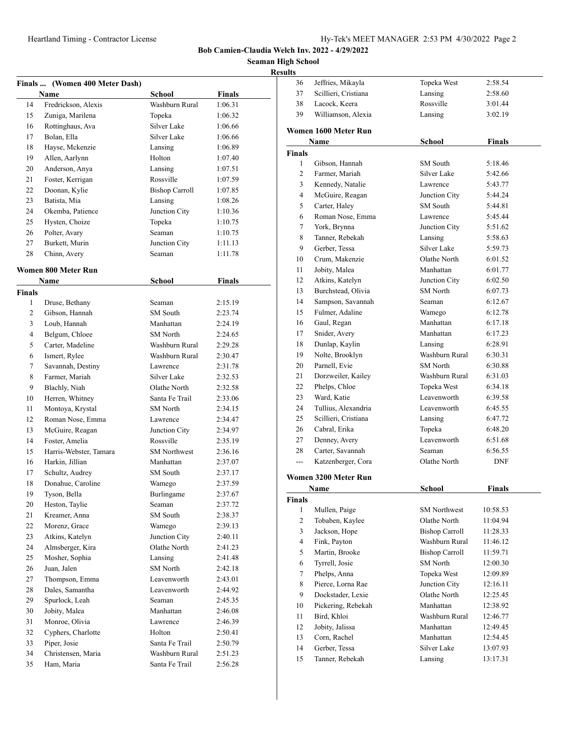**Bob Camien-Claudia Welch Inv. 2022 - 4/29/2022**

**High School** 

|                |                                |                       |               | <b>Seaman High!</b> |
|----------------|--------------------------------|-----------------------|---------------|---------------------|
|                |                                |                       |               | <b>Results</b>      |
|                | Finals  (Women 400 Meter Dash) |                       |               |                     |
|                | <b>Name</b>                    | <b>School</b>         | <b>Finals</b> |                     |
| 14             | Fredrickson, Alexis            | Washburn Rural        | 1:06.31       | Î                   |
| 15             | Zuniga, Marilena               | Topeka                | 1:06.32       | Î                   |
| 16             | Rottinghaus, Ava               | Silver Lake           | 1:06.66       | Wo                  |
| 17             | Bolan, Ella                    | Silver Lake           | 1:06.66       |                     |
| 18             | Hayse, Mckenzie                | Lansing               | 1:06.89       |                     |
| 19             | Allen, Aarlynn                 | Holton                | 1:07.40       | Fin                 |
| 20             | Anderson, Anya                 | Lansing               | 1:07.51       |                     |
| 21             | Foster, Kerrigan               | Rossville             | 1:07.59       |                     |
| 22             | Doonan, Kylie                  | <b>Bishop Carroll</b> | 1:07.85       |                     |
| 23             | Batista, Mia                   | Lansing               | 1:08.26       |                     |
| 24             | Okemba, Patience               | Junction City         | 1:10.36       |                     |
| 25             | Hysten, Choize                 | Topeka                | 1:10.75       |                     |
| 26             | Polter, Avary                  | Seaman                | 1:10.75       |                     |
| 27             | Burkett, Murin                 | Junction City         | 1:11.13       |                     |
| 28             | Chinn, Avery                   | Seaman                | 1:11.78       |                     |
|                | Women 800 Meter Run            |                       |               |                     |
|                | <b>Name</b>                    | <b>School</b>         | Finals        |                     |
| <b>Finals</b>  |                                |                       |               |                     |
| $\mathbf{1}$   | Druse, Bethany                 | Seaman                | 2:15.19       |                     |
| $\overline{2}$ | Gibson, Hannah                 | SM South              | 2:23.74       |                     |
| 3              | Loub, Hannah                   | Manhattan             | 2:24.19       |                     |
| $\overline{4}$ | Belgum, Chloee                 | SM North              | 2:24.65       |                     |
| 5              | Carter, Madeline               | Washburn Rural        | 2:29.28       |                     |
| 6              | Ismert, Rylee                  | Washburn Rural        | 2:30.47       |                     |
| 7              | Savannah, Destiny              | Lawrence              | 2:31.78       |                     |
| 8              | Farmer, Mariah                 | Silver Lake           | 2:32.53       |                     |
| 9              | Blachly, Niah                  | Olathe North          | 2:32.58       |                     |

| 36             | Jeffries, Mikayla    | Topeka West           | 2:58.54       |
|----------------|----------------------|-----------------------|---------------|
| 37             | Scillieri, Cristiana | Lansing<br>2:58.60    |               |
| 38             | Lacock, Keera        | Rossville             | 3:01.44       |
| 39             | Williamson, Alexia   | Lansing               | 3:02.19       |
|                | Women 1600 Meter Run |                       |               |
|                | Name                 | <b>School</b>         | <b>Finals</b> |
| <b>Finals</b>  |                      |                       |               |
| 1              | Gibson, Hannah       | SM South              | 5:18.46       |
| 2              | Farmer, Mariah       | Silver Lake           | 5:42.66       |
| 3              | Kennedy, Natalie     | Lawrence              | 5:43.77       |
| 4              | McGuire, Reagan      | Junction City         | 5:44.24       |
| 5              | Carter, Haley        | SM South              | 5:44.81       |
| 6              | Roman Nose, Emma     | Lawrence              | 5:45.44       |
| 7              | York, Brynna         | Junction City         | 5:51.62       |
| 8              | Tanner, Rebekah      | Lansing               | 5:58.63       |
| 9              | Gerber, Tessa        | Silver Lake           | 5:59.73       |
| 10             | Crum, Makenzie       | Olathe North          | 6:01.52       |
| 11             | Jobity, Malea        | Manhattan             | 6:01.77       |
| 12             | Atkins, Katelyn      | Junction City         | 6:02.50       |
| 13             | Burchstead, Olivia   | <b>SM</b> North       | 6:07.73       |
| 14             | Sampson, Savannah    | Seaman                | 6:12.67       |
| 15             | Fulmer, Adaline      | Wamego                | 6:12.78       |
| 16             | Gaul, Regan          | Manhattan             | 6:17.18       |
| 17             | Snider, Avery        | Manhattan             | 6:17.23       |
|                |                      | Lansing               |               |
| 18             | Dunlap, Kaylin       |                       | 6:28.91       |
| 19             | Nolte, Brooklyn      | Washburn Rural        | 6:30.31       |
| 20             | Parnell, Evie        | SM North              | 6:30.88       |
| 21             | Dorzweiler, Kailey   | Washburn Rural        | 6:31.03       |
| 22             | Phelps, Chloe        | Topeka West           | 6:34.18       |
| 23             | Ward, Katie          | Leavenworth           | 6:39.58       |
| 24             | Tullius, Alexandria  | Leavenworth           | 6:45.55       |
| 25             | Scillieri, Cristiana | Lansing               | 6:47.72       |
| 26             | Cabral, Erika        | Topeka                | 6:48.20       |
| 27             | Denney, Avery        | Leavenworth           | 6:51.68       |
| 28             | Carter, Savannah     | Seaman                | 6:56.55       |
| $\sim$ $\sim$  | Katzenberger, Cora   | Olathe North          | <b>DNF</b>    |
|                | Women 3200 Meter Run |                       |               |
|                | Name                 | <b>School</b>         | Finals        |
| <b>Finals</b>  |                      |                       |               |
| 1              | Mullen, Paige        | <b>SM Northwest</b>   | 10:58.53      |
| $\overline{c}$ | Tobaben, Kaylee      | Olathe North          | 11:04.94      |
| 3              | Jackson, Hope        | <b>Bishop Carroll</b> | 11:28.33      |
| $\overline{4}$ | Fink, Payton         | Washburn Rural        | 11:46.12      |
| 5              | Martin, Brooke       | <b>Bishop Carroll</b> | 11:59.71      |
| 6              | Tyrrell, Josie       | SM North              | 12:00.30      |
| $\tau$         | Phelps, Anna         | Topeka West           | 12:09.89      |
| 8              | Pierce, Lorna Rae    | Junction City         | 12:16.11      |
| 9              | Dockstader, Lexie    | Olathe North          | 12:25.45      |
| 10             | Pickering, Rebekah   | Manhattan             | 12:38.92      |
| 11             | Bird, Khloi          | Washburn Rural        | 12:46.77      |
| 12             | Jobity, Jalissa      | Manhattan             | 12:49.45      |
| 13             | Corn, Rachel         | Manhattan             | 12:54.45      |
| 14             | Gerber, Tessa        | Silver Lake           | 13:07.93      |
|                |                      |                       |               |
| 15             | Tanner, Rebekah      | Lansing               | 13:17.31      |

| 19            | Allen, Aarlynn             | Holton                | 1:07.40       |
|---------------|----------------------------|-----------------------|---------------|
| 20            | Anderson, Anya             | Lansing               | 1:07.51       |
| 21            | Foster, Kerrigan           | Rossville             | 1:07.59       |
| 22            | Doonan, Kylie              | <b>Bishop Carroll</b> | 1:07.85       |
| 23            | Batista, Mia               | Lansing               | 1:08.26       |
| 24            | Okemba, Patience           | Junction City         | 1:10.36       |
| 25            | Hysten, Choize             | Topeka                | 1:10.75       |
| 26            | Polter, Avary              | Seaman                | 1:10.75       |
| 27            | Burkett, Murin             | Junction City         | 1:11.13       |
| 28            | Chinn, Avery               | Seaman                | 1:11.78       |
|               | <b>Women 800 Meter Run</b> |                       |               |
|               | <b>Name</b>                | <b>School</b>         | <b>Finals</b> |
| <b>Finals</b> |                            |                       |               |
| 1             | Druse, Bethany             | Seaman                | 2:15.19       |
| 2             | Gibson, Hannah             | <b>SM</b> South       | 2:23.74       |
| 3             | Loub, Hannah               | Manhattan             | 2:24.19       |
| 4             | Belgum, Chloee             | SM North              | 2:24.65       |
| 5             | Carter, Madeline           | Washburn Rural        | 2:29.28       |
| 6             | Ismert, Rylee              | Washburn Rural        | 2:30.47       |
| 7             | Savannah, Destiny          | Lawrence              | 2:31.78       |
| 8             | Farmer, Mariah             | Silver Lake           | 2:32.53       |
| 9             | Blachly, Niah              | Olathe North          | 2:32.58       |
| 10            | Herren, Whitney            | Santa Fe Trail        | 2:33.06       |
| 11            | Montoya, Krystal           | <b>SM</b> North       | 2:34.15       |
| 12            | Roman Nose, Emma           | Lawrence              | 2:34.47       |
| 13            | McGuire, Reagan            | Junction City         | 2:34.97       |
| 14            | Foster, Amelia             | Rossville             | 2:35.19       |
| 15            | Harris-Webster, Tamara     | <b>SM</b> Northwest   | 2:36.16       |
| 16            | Harkin, Jillian            | Manhattan             | 2:37.07       |
| 17            | Schultz, Audrey            | SM South              | 2:37.17       |
| 18            | Donahue, Caroline          | Wamego                | 2:37.59       |
| 19            | Tyson, Bella               | Burlingame            | 2:37.67       |
| 20            | Heston, Taylie             | Seaman                | 2:37.72       |
| 21            | Kreamer, Anna              | SM South              | 2:38.37       |
| 22            | Morenz, Grace              | Wamego                | 2:39.13       |
| 23            | Atkins, Katelyn            | Junction City         | 2:40.11       |
| 24            | Almsberger, Kira           | Olathe North          | 2:41.23       |
| 25            | Mosher, Sophia             | Lansing               | 2:41.48       |
| 26            | Juan, Jalen                | SM North              | 2:42.18       |
| 27            | Thompson, Emma             | Leavenworth           | 2:43.01       |
| 28            | Dales, Samantha            | Leavenworth           | 2:44.92       |
| 29            | Spurlock, Leah             | Seaman                | 2:45.35       |
| 30            | Jobity, Malea              | Manhattan             | 2:46.08       |
| 31            | Monroe, Olivia             | Lawrence              | 2:46.39       |
| 32            | Cyphers, Charlotte         | Holton                | 2:50.41       |
| 33            | Piper, Josie               | Santa Fe Trail        | 2:50.79       |
| 34            | Christensen, Maria         | Washburn Rural        | 2:51.23       |
| 35            | Ham, Maria                 | Santa Fe Trail        | 2:56.28       |
|               |                            |                       |               |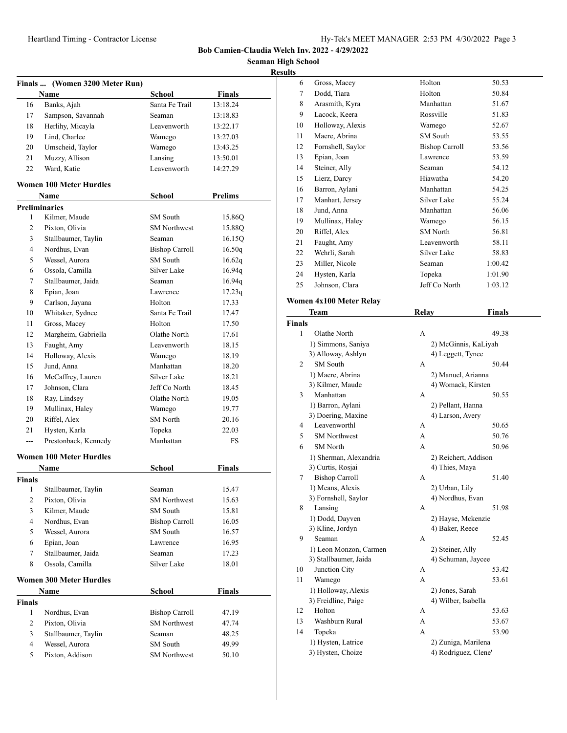**Seaman High School Results**

|                |                                |                       | R             |
|----------------|--------------------------------|-----------------------|---------------|
|                | Finals  (Women 3200 Meter Run) |                       |               |
|                | <b>Name</b>                    | <b>School</b>         | <b>Finals</b> |
| 16             | Banks, Ajah                    | Santa Fe Trail        | 13:18.24      |
| 17             | Sampson, Savannah              | Seaman                | 13:18.83      |
| 18             | Herlihy, Micayla               | Leavenworth           | 13:22.17      |
| 19             | Lind, Charlee                  | Wamego                | 13:27.03      |
| 20             | Umscheid, Taylor               | Wamego                | 13:43.25      |
| 21             | Muzzy, Allison                 | Lansing               | 13:50.01      |
| 22             | Ward, Katie                    | Leavenworth           | 14:27.29      |
|                | <b>Women 100 Meter Hurdles</b> |                       |               |
|                | Name                           | <b>School</b>         | Prelims       |
|                | <b>Preliminaries</b>           |                       |               |
| 1              | Kilmer, Maude                  | SM South              | 15.86Q        |
| 2              | Pixton, Olivia                 | <b>SM</b> Northwest   | 15.88Q        |
| 3              | Stallbaumer, Taylin            | Seaman                | 16.15Q        |
| 4              | Nordhus, Evan                  | <b>Bishop Carroll</b> | 16.50q        |
| 5              | Wessel, Aurora                 | <b>SM</b> South       | 16.62q        |
| 6              | Ossola, Camilla                | Silver Lake           | 16.94q        |
| 7              | Stallbaumer, Jaida             | Seaman                | 16.94q        |
| 8              | Epian, Joan                    | Lawrence              | 17.23q        |
| 9              | Carlson, Jayana                | Holton                | 17.33         |
| 10             | Whitaker, Sydnee               | Santa Fe Trail        | 17.47         |
| 11             | Gross, Macey                   | Holton                | 17.50         |
| 12             | Margheim, Gabriella            | Olathe North          | 17.61         |
| 13             | Faught, Amy                    | Leavenworth           | 18.15         |
| 14             | Holloway, Alexis               | Wamego                | 18.19         |
| 15             | Jund, Anna                     | Manhattan             | 18.20         |
| 16             | McCaffrey, Lauren              | Silver Lake           | 18.21         |
| 17             | Johnson, Clara                 | Jeff Co North         | 18.45         |
| 18             | Ray, Lindsey                   | Olathe North          | 19.05         |
| 19             | Mullinax, Haley                | Wamego                | 19.77         |
| 20             | Riffel, Alex                   | SM North              | 20.16         |
| 21             | Hysten, Karla                  | Topeka                | 22.03         |
| ---            | Prestonback, Kennedy           | Manhattan             | <b>FS</b>     |
|                | <b>Women 100 Meter Hurdles</b> |                       |               |
|                | Name                           | School                | Finals        |
| Finals         |                                |                       |               |
| $\mathbf{1}$   | Stallbaumer, Taylin            | Seaman                | 15.47         |
| 2              | Pixton, Olivia                 | <b>SM Northwest</b>   | 15.63         |
| 3              | Kilmer, Maude                  | SM South              | 15.81         |
| 4              | Nordhus, Evan                  | <b>Bishop Carroll</b> | 16.05         |
| 5              | Wessel, Aurora                 | SM South              | 16.57         |
| 6              | Epian, Joan                    | Lawrence              | 16.95         |
| 7              | Stallbaumer, Jaida             | Seaman                | 17.23         |
| 8              | Ossola, Camilla                | Silver Lake           | 18.01         |
|                | <b>Women 300 Meter Hurdles</b> |                       |               |
|                | Name                           | <b>School</b>         | <b>Finals</b> |
| Finals         |                                |                       |               |
| 1              | Nordhus, Evan                  | <b>Bishop Carroll</b> | 47.19         |
| $\overline{c}$ | Pixton, Olivia                 | <b>SM</b> Northwest   | 47.74         |
| 3              | Stallbaumer, Taylin            | Seaman                | 48.25         |
| 4              | Wessel, Aurora                 | SM South              | 49.99         |
| 5              | Pixton, Addison                | <b>SM Northwest</b>   | 50.10         |

| ults           |                         |                       |         |  |
|----------------|-------------------------|-----------------------|---------|--|
| 6              | Gross, Macey            | Holton                | 50.53   |  |
| 7              | Dodd, Tiara             | Holton                | 50.84   |  |
| 8              | Arasmith, Kyra          | Manhattan             | 51.67   |  |
| 9              | Lacock, Keera           | Rossville             | 51.83   |  |
| 10             | Holloway, Alexis        | Wamego                | 52.67   |  |
| 11             | Maere, Abrina           | SM South              | 53.55   |  |
| 12             | Fornshell, Saylor       | <b>Bishop Carroll</b> | 53.56   |  |
| 13             | Epian, Joan             | Lawrence              | 53.59   |  |
| 14             | Steiner, Ally           | Seaman                | 54.12   |  |
| 15             | Lierz, Darcy            | Hiawatha              | 54.20   |  |
| 16             | Barron, Aylani          | Manhattan             | 54.25   |  |
| 17             | Manhart, Jersey         | Silver Lake           | 55.24   |  |
| 18             | Jund, Anna              | Manhattan             | 56.06   |  |
| 19             | Mullinax, Haley         | Wamego                | 56.15   |  |
| 20             | Riffel, Alex            | <b>SM</b> North       | 56.81   |  |
| 21             | Faught, Amy             | Leavenworth           | 58.11   |  |
| 22             | Wehrli, Sarah           | Silver Lake           | 58.83   |  |
| 23             | Miller, Nicole          | Seaman                | 1:00.42 |  |
| 24             | Hysten, Karla           | Topeka                | 1:01.90 |  |
| 25             | Johnson, Clara          | Jeff Co North         | 1:03.12 |  |
|                | Women 4x100 Meter Relay |                       |         |  |
|                | Team                    | Relay                 | Finals  |  |
| <b>Finals</b>  |                         |                       |         |  |
| 1              | Olathe North            | A                     | 49.38   |  |
|                | 1) Simmons, Saniya      | 2) McGinnis, KaLiyah  |         |  |
|                | 3) Alloway, Ashlyn      | 4) Leggett, Tynee     |         |  |
| $\overline{2}$ | <b>SM</b> South         | A                     | 50.44   |  |
|                | 1) Maere, Abrina        | 2) Manuel, Arianna    |         |  |
|                | 3) Kilmer, Maude        | 4) Womack, Kirsten    |         |  |
| 3              | Manhattan               | A                     | 50.55   |  |
|                | 1) Barron, Aylani       | 2) Pellant, Hanna     |         |  |
|                | 3) Doering, Maxine      | 4) Larson, Avery      |         |  |
| 4              | Leavenworthl            | А                     | 50.65   |  |
| 5              | <b>SM</b> Northwest     | A                     | 50.76   |  |
| 6              | <b>SM</b> North         | A                     | 50.96   |  |
|                | 1) Sherman, Alexandria  | 2) Reichert, Addison  |         |  |
|                | 3) Curtis, Rosjai       | 4) Thies, Maya        |         |  |
| 7              | <b>Bishop Carroll</b>   | A                     | 51.40   |  |

| 1) Means, Alexis       |   | 2) Urban, Lily      |                                                                 |
|------------------------|---|---------------------|-----------------------------------------------------------------|
| 3) Fornshell, Saylor   |   | 4) Nordhus, Evan    |                                                                 |
| Lansing                | A |                     | 51.98                                                           |
| 1) Dodd, Dayven        |   |                     |                                                                 |
| 3) Kline, Jordyn       |   | 4) Baker, Reece     |                                                                 |
| Seaman                 | A |                     | 52.45                                                           |
| 1) Leon Monzon, Carmen |   | 2) Steiner, Ally    |                                                                 |
| 3) Stallbaumer, Jaida  |   |                     |                                                                 |
| Junction City          | A |                     | 53.42                                                           |
| Wamego                 | А |                     | 53.61                                                           |
| 1) Holloway, Alexis    |   | 2) Jones, Sarah     |                                                                 |
| 3) Freidline, Paige    |   | 4) Wilber, Isabella |                                                                 |
| Holton                 | А |                     | 53.63                                                           |
| Washburn Rural         | A |                     | 53.67                                                           |
| Topeka                 | А |                     | 53.90                                                           |
| 1) Hysten, Latrice     |   |                     |                                                                 |
|                        |   |                     | 2) Hayse, Mckenzie<br>4) Schuman, Jaycee<br>2) Zuniga, Marilena |

3) Hysten, Choize 4) Rodriguez, Clene'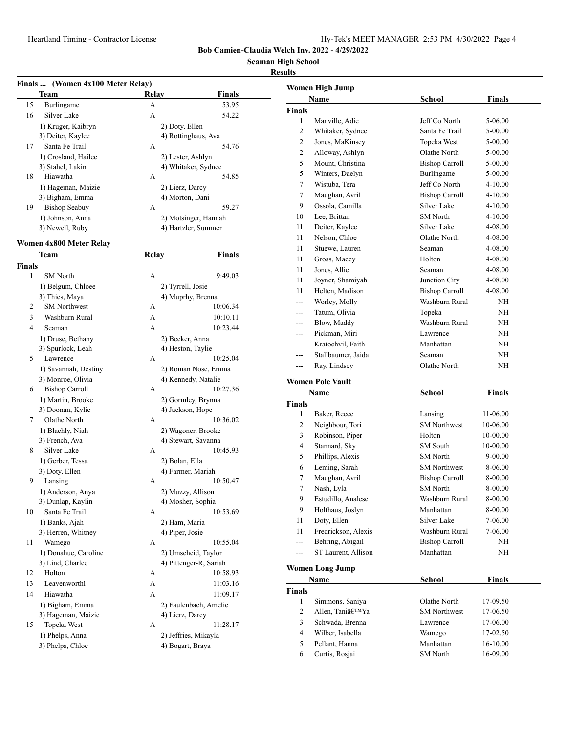**Seaman High School**

#### **Results**

|        | Finals  (Women 4x100 Meter Relay)    |       |                                  |
|--------|--------------------------------------|-------|----------------------------------|
|        | Team                                 | Relay | <b>Finals</b>                    |
| 15     | Burlingame                           | А     | 53.95                            |
| 16     | Silver Lake                          | А     | 54.22                            |
|        | 1) Kruger, Kaibryn                   |       | 2) Doty, Ellen                   |
|        | 3) Deiter, Kaylee                    |       | 4) Rottinghaus, Ava              |
| 17     | Santa Fe Trail                       | А     | 54.76                            |
|        | 1) Crosland, Hailee                  |       | 2) Lester, Ashlyn                |
|        | 3) Stahel, Lakin                     |       | 4) Whitaker, Sydnee              |
| 18     | Hiawatha                             | A     | 54.85                            |
|        | 1) Hageman, Maizie                   |       | 2) Lierz, Darcy                  |
|        | 3) Bigham, Emma                      |       | 4) Morton, Dani                  |
| 19     | <b>Bishop Seabuy</b>                 | A     | 59.27                            |
|        | 1) Johnson, Anna                     |       | 2) Motsinger, Hannah             |
|        | 3) Newell, Ruby                      |       | 4) Hartzler, Summer              |
|        | Women 4x800 Meter Relay              |       |                                  |
|        | Team                                 | Relay | Finals                           |
| Finals |                                      |       |                                  |
| 1      | <b>SM</b> North                      | А     | 9:49.03                          |
|        | 1) Belgum, Chloee                    |       | 2) Tyrrell, Josie                |
|        | 3) Thies, Maya                       |       | 4) Muprhy, Brenna                |
| 2      | <b>SM Northwest</b>                  | А     | 10:06.34                         |
| 3      | Washburn Rural                       | А     | 10:10.11                         |
| 4      | Seaman                               | A     | 10:23.44                         |
|        | 1) Druse, Bethany                    |       | 2) Becker, Anna                  |
|        | 3) Spurlock, Leah                    |       | 4) Heston, Taylie                |
| 5      | Lawrence                             | А     | 10:25.04                         |
|        | 1) Savannah, Destiny                 |       | 2) Roman Nose, Emma              |
|        | 3) Monroe, Olivia                    |       | 4) Kennedy, Natalie              |
| 6      | <b>Bishop Carroll</b>                | А     | 10:27.36                         |
|        | 1) Martin, Brooke                    |       | 2) Gormley, Brynna               |
|        | 3) Doonan, Kylie                     |       | 4) Jackson, Hope                 |
| 7      | Olathe North                         | А     | 10:36.02                         |
|        | 1) Blachly, Niah                     |       | 2) Wagoner, Brooke               |
|        | 3) French, Ava                       |       | 4) Stewart, Savanna              |
| 8      | Silver Lake                          | А     | 10:45.93                         |
|        | 1) Gerber, Tessa                     |       | 2) Bolan, Ella                   |
|        | 3) Doty, Ellen                       |       | 4) Farmer, Mariah                |
| 9      | Lansing                              | А     | 10:50.47                         |
|        | 1) Anderson, Anya                    |       | 2) Muzzy, Allison                |
|        |                                      |       | 4) Mosher, Sophia                |
| 10     | 3) Dunlap, Kaylin<br>Santa Fe Trail  | А     | 10:53.69                         |
|        |                                      |       |                                  |
|        | 1) Banks, Ajah<br>3) Herren, Whitney |       | 2) Ham, Maria<br>4) Piper, Josie |
|        | Wamego                               |       |                                  |
| 11     |                                      | А     | 10:55.04                         |
|        | 1) Donahue, Caroline                 |       | 2) Umscheid, Taylor              |
|        | 3) Lind, Charlee                     |       | 4) Pittenger-R, Sariah           |
| 12     | Holton                               | А     | 10:58.93                         |
| 13     | Leavenworthl                         | А     | 11:03.16                         |
| 14     | Hiawatha                             | А     | 11:09.17                         |
|        | 1) Bigham, Emma                      |       | 2) Faulenbach, Amelie            |
|        | 3) Hageman, Maizie                   |       | 4) Lierz, Darcy                  |
| 15     | Topeka West                          | А     | 11:28.17                         |
|        | 1) Phelps, Anna                      |       | 2) Jeffries, Mikayla             |
|        | 3) Phelps, Chloe                     |       | 4) Bogart, Braya                 |
|        |                                      |       |                                  |

|                | Women High Jump         |                       |               |
|----------------|-------------------------|-----------------------|---------------|
|                | Name                    | <b>School</b>         | Finals        |
| <b>Finals</b>  |                         |                       |               |
| 1              | Manville, Adie          | Jeff Co North         | 5-06.00       |
| $\overline{c}$ | Whitaker, Sydnee        | Santa Fe Trail        | 5-00.00       |
| 2              | Jones, MaKinsey         | Topeka West           | 5-00.00       |
| 2              | Alloway, Ashlyn         | Olathe North          | 5-00.00       |
| 5              | Mount, Christina        | <b>Bishop Carroll</b> | 5-00.00       |
| 5              | Winters, Daelyn         | Burlingame            | 5-00.00       |
| 7              | Wistuba, Tera           | Jeff Co North         | 4-10.00       |
| 7              | Maughan, Avril          | <b>Bishop Carroll</b> | 4-10.00       |
| 9              | Ossola, Camilla         | Silver Lake           | 4-10.00       |
| 10             | Lee, Brittan            | <b>SM</b> North       | 4-10.00       |
| 11             | Deiter, Kaylee          | Silver Lake           | 4-08.00       |
| 11             | Nelson, Chloe           | Olathe North          | 4-08.00       |
| 11             | Stuewe, Lauren          | Seaman                | 4-08.00       |
| 11             | Gross, Macey            | Holton                | 4-08.00       |
| 11             | Jones, Allie            | Seaman                | 4-08.00       |
| 11             | Joyner, Shamiyah        | Junction City         | 4-08.00       |
| 11             | Helten, Madison         | <b>Bishop Carroll</b> | 4-08.00       |
| $---$          | Worley, Molly           | Washburn Rural        | NH            |
| ---            | Tatum, Olivia           | Topeka                | NΗ            |
| ---            | Blow, Maddy             | Washburn Rural        | <b>NH</b>     |
| ---            | Pickman, Miri           | Lawrence              | NH            |
|                | Kratochvil, Faith       | Manhattan             | NH            |
| ---            | Stallbaumer, Jaida      | Seaman                | NH            |
| ---            | Ray, Lindsey            | Olathe North          | NH            |
|                |                         |                       |               |
|                | <b>Women Pole Vault</b> |                       |               |
|                | Name                    | <b>School</b>         | <b>Finals</b> |
| Finals         |                         |                       |               |
| 1              | Baker, Reece            | Lansing               | 11-06.00      |
| 2              | Neighbour, Tori         | <b>SM</b> Northwest   | 10-06.00      |
| 3              | Robinson, Piper         | Holton                | 10-00.00      |
| 4              | Stannard, Sky           | SM South              | 10-00.00      |
| 5              | Phillips, Alexis        | <b>SM</b> North       | 9-00.00       |
| 6              | Leming, Sarah           | <b>SM</b> Northwest   | 8-06.00       |
| 7              | Maughan, Avril          | <b>Bishop Carroll</b> | 8-00.00       |
| 7              | Nash, Lyla              | <b>SM</b> North       | 8-00.00       |
| 9              | Estudillo, Analese      | Washburn Rural        | 8-00.00       |
| 9              | Holthaus, Joslyn        | Manhattan             | 8-00.00       |
| 11             | Doty, Ellen             | Silver Lake           | 7-06.00       |
| 11             | Fredrickson, Alexis     | Washburn Rural        | 7-06.00       |
| ---            | Behring, Abigail        | <b>Bishop Carroll</b> | NH            |
| ---            | ST Laurent, Allison     | Manhattan             | NH            |
|                | <b>Women Long Jump</b>  |                       |               |
|                | Name                    | <b>School</b>         | <b>Finals</b> |
| <b>Finals</b>  |                         |                       |               |
| 1              | Simmons, Saniya         | Olathe North          | 17-09.50      |
| 2              | Allen, Tani'Ya          | <b>SM</b> Northwest   | 17-06.50      |
| 3              | Schwada, Brenna         | Lawrence              | 17-06.00      |
| 4              | Wilber, Isabella        | Wamego                | 17-02.50      |

5 Pellant, Hanna Manhattan 16-10.00 6 Curtis, Rosjai SM North 16-09.00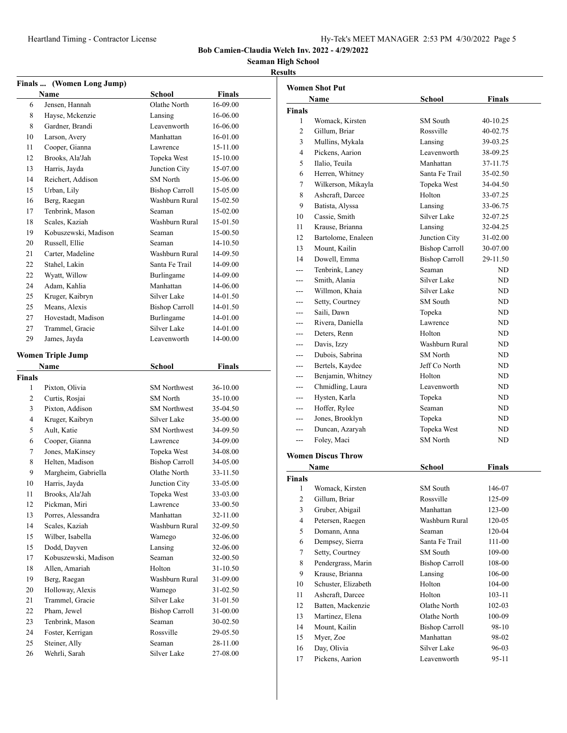# **Seaman High School**

### **Results Finals ... (Women Long Jump) Name School Finals** 6 Jensen, Hannah Olathe North 16-09.00 8 Hayse, Mckenzie Lansing 16-06.00 8 Gardner, Brandi Leavenworth 16-06.00 10 Larson, Avery Manhattan 16-01.00 11 Cooper, Gianna Lawrence 15-11.00 12 Brooks, Ala'Jah Topeka West 15-10.00 13 Harris, Jayda Junction City 15-07.00 14 Reichert, Addison SM North 15-06.00 15 Urban, Lily Bishop Carroll 15-05.00 16 Berg, Raegan Washburn Rural 15-02.50 17 Tenbrink, Mason Seaman 15-02.00 18 Scales, Kaziah Washburn Rural 15-01.50 19 Kobuszewski, Madison Seaman 15-00.50 20 Russell, Ellie Seaman 14-10.50 21 Carter, Madeline Washburn Rural 14-09.50 22 Stahel, Lakin Santa Fe Trail 14-09.00 22 Wyatt, Willow Burlingame 14-09.00 24 Adam, Kahlia Manhattan 14-06.00 25 Kruger, Kaibryn Silver Lake 14-01.50 25 Means, Alexis Bishop Carroll 14-01.50 27 Hovestadt, Madison Burlingame 14-01.00 27 Trammel, Gracie Silver Lake 14-01.00 29 James, Jayda Leavenworth 14-00.00 **Women Triple Jump Name School Finals Finals** 1 Pixton, Olivia SM Northwest 36-10.00 2 Curtis, Rosjai SM North 35-10.00 3 Pixton, Addison SM Northwest 35-04.50 4 Kruger, Kaibryn Silver Lake 35-00.00 5 Ault, Katie SM Northwest 34-09.50 6 Cooper, Gianna Lawrence 34-09.00 7 Jones, MaKinsey Topeka West 34-08.00 8 Helten, Madison Bishop Carroll 34-05.00 9 Margheim, Gabriella Olathe North 33-11.50 10 Harris, Jayda Junction City 33-05.00 11 Brooks, Ala'Jah Topeka West 33-03.00 12 Pickman, Miri Lawrence 33-00.50 13 Porres, Alessandra Manhattan 32-11.00 14 Scales, Kaziah Washburn Rural 32-09.50 15 Wilber, Isabella Wamego 32-06.00 15 Dodd, Dayven Lansing 32-06.00 17 Kobuszewski, Madison Seaman 32-00.50 18 Allen, Amariah Holton 31-10.50 19 Berg, Raegan Washburn Rural 31-09.00 20 Holloway, Alexis Wamego 31-02.50 21 Trammel, Gracie Silver Lake 31-01.50 22 Pham, Jewel Bishop Carroll 31-00.00 23 Tenbrink, Mason Seaman 30-02.50 24 Foster, Kerrigan Rossville 29-05.50 25 Steiner, Ally Seaman 28-11.00 26 Wehrli, Sarah Silver Lake 27-08.00

|                | <b>Women Shot Put</b>     |                       |            |  |
|----------------|---------------------------|-----------------------|------------|--|
|                | Name                      | School                | Finals     |  |
| <b>Finals</b>  |                           |                       |            |  |
| 1              | Womack, Kirsten           | SM South              | 40-10.25   |  |
| $\overline{c}$ | Gillum, Briar             | Rossville             | 40-02.75   |  |
| 3              | Mullins, Mykala           | Lansing               | 39-03.25   |  |
| 4              | Pickens, Aarion           | Leavenworth           | 38-09.25   |  |
| 5              | Ilalio, Teuila            | Manhattan             | 37-11.75   |  |
| 6              | Herren, Whitney           | Santa Fe Trail        | 35-02.50   |  |
| 7              | Wilkerson, Mikayla        | Topeka West           | 34-04.50   |  |
| 8              | Ashcraft, Darcee          | Holton                | 33-07.25   |  |
| 9              | Batista, Alyssa           | Lansing               | 33-06.75   |  |
| 10             | Cassie, Smith             | Silver Lake           | 32-07.25   |  |
| 11             | Krause, Brianna           | Lansing               | 32-04.25   |  |
| 12             | Bartolome, Enaleen        | Junction City         | 31-02.00   |  |
| 13             | Mount, Kailin             | <b>Bishop Carroll</b> | 30-07.00   |  |
| 14             | Dowell, Emma              | <b>Bishop Carroll</b> | 29-11.50   |  |
|                | Tenbrink, Laney           | Seaman                | ND         |  |
|                | Smith, Alania             | Silver Lake           | ND         |  |
|                | Willmon, Khaia            | Silver Lake           | ND         |  |
| ---            | Setty, Courtney           | <b>SM</b> South       | ND         |  |
| ---            | Saili, Dawn               | Topeka                | ND         |  |
|                | Rivera, Daniella          | Lawrence              | ND         |  |
| ---            | Deters, Renn              | Holton                | ND         |  |
|                | Davis, Izzy               | Washburn Rural        | ND.        |  |
|                | Dubois, Sabrina           | <b>SM</b> North       | ND         |  |
| ---            | Bertels, Kaydee           | Jeff Co North         | ND         |  |
|                | Benjamin, Whitney         | Holton                | ND.        |  |
| ---            | Chmidling, Laura          | Leavenworth           | ND         |  |
| ---            | Hysten, Karla             | Topeka                | ND         |  |
|                | Hoffer, Rylee             | Seaman                | ND.        |  |
|                | Jones, Brooklyn           | Topeka                | ND         |  |
| ---            | Duncan, Azaryah           | Topeka West           | ND         |  |
| ---            | Foley, Maci               | <b>SM</b> North       | ND         |  |
|                | <b>Women Discus Throw</b> |                       |            |  |
|                | Name                      | School                | Finals     |  |
| <b>Finals</b>  |                           |                       |            |  |
| 1              | Womack, Kirsten           | SM South              | 146-07     |  |
| 2              | Gillum, Briar             | Rossville             | 125-09     |  |
| 3              | Gruber, Abigail           | Manhattan             | 123-00     |  |
| $\overline{4}$ | Petersen, Raegen          | Washburn Rural        | 120-05     |  |
| 5              | Domann, Anna              | Seaman                | 120-04     |  |
| 6              | Dempsey, Sierra           | Santa Fe Trail        | 111-00     |  |
| 7              | Setty, Courtney           | SM South              | 109-00     |  |
| 8              | Pendergrass, Marin        | <b>Bishop Carroll</b> | 108-00     |  |
| 9              | Krause, Brianna           | Lansing               | 106-00     |  |
| 10             | Schuster, Elizabeth       | Holton                | 104-00     |  |
| 11             | Ashcraft, Darcee          | Holton                | $103 - 11$ |  |
| 12             | Batten, Mackenzie         | Olathe North          | 102-03     |  |
| 13             | Martinez, Elena           | Olathe North          | 100-09     |  |
| 14             | Mount, Kailin             | <b>Bishop Carroll</b> | 98-10      |  |
| 15             | Myer, Zoe                 | Manhattan             | 98-02      |  |
| 16             | Day, Olivia               | Silver Lake           | 96-03      |  |
| 17             | Pickens, Aarion           | Leavenworth           | 95-11      |  |
|                |                           |                       |            |  |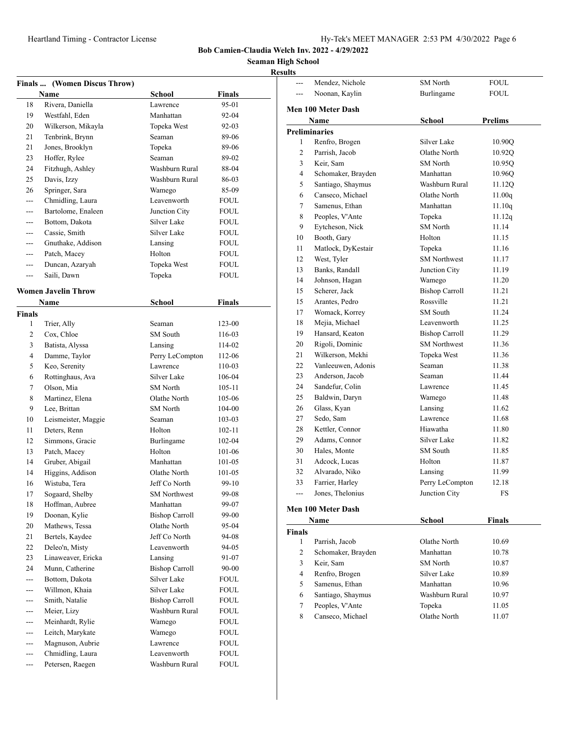**Seaman High School**

# **Results**

|         | Finals  (Women Discus Throw) |                       |             |  |
|---------|------------------------------|-----------------------|-------------|--|
|         | Name                         | School                | Finals      |  |
| 18      | Rivera, Daniella             | Lawrence              | 95-01       |  |
| 19      | Westfahl, Eden               | Manhattan             | 92-04       |  |
| 20      | Wilkerson, Mikayla           | Topeka West           | $92 - 03$   |  |
| 21      | Tenbrink, Brynn              | Seaman                | 89-06       |  |
| 21      | Jones, Brooklyn              | Topeka                | 89-06       |  |
| 23      | Hoffer, Rylee                | Seaman                | 89-02       |  |
| 24      | Fitzhugh, Ashley             | Washburn Rural        | 88-04       |  |
| 25      | Davis, Izzy                  | Washburn Rural        | 86-03       |  |
| 26      | Springer, Sara               | Wamego                | 85-09       |  |
|         | Chmidling, Laura             | Leavenworth           | FOUL        |  |
|         | Bartolome, Enaleen           | Junction City         | <b>FOUL</b> |  |
|         | Bottom, Dakota               | Silver Lake           | <b>FOUL</b> |  |
| $---$   | Cassie, Smith                | Silver Lake           | FOUL        |  |
| ---     | Gnuthake, Addison            | Lansing               | <b>FOUL</b> |  |
| $---$   | Patch, Macey                 | Holton                | FOUL        |  |
| ---     | Duncan, Azaryah              | Topeka West           | FOUL.       |  |
| ---     | Saili, Dawn                  | Topeka                | FOUL.       |  |
|         |                              |                       |             |  |
|         | <b>Women Javelin Throw</b>   |                       |             |  |
|         | Name                         | School                | Finals      |  |
| Finals  |                              |                       |             |  |
| 1       | Trier, Ally                  | Seaman                | 123-00      |  |
| 2       | Cox, Chloe                   | SM South              | 116-03      |  |
| 3       | Batista, Alyssa              | Lansing               | 114-02      |  |
| 4       | Damme, Taylor                | Perry LeCompton       | 112-06      |  |
| 5       | Keo, Serenity                | Lawrence              | $110 - 03$  |  |
| 6       | Rottinghaus, Ava             | Silver Lake           | 106-04      |  |
| 7       | Olson, Mia                   | <b>SM</b> North       | $105 - 11$  |  |
| 8       | Martinez, Elena              | Olathe North          | 105-06      |  |
| 9       | Lee, Brittan                 | SM North              | 104-00      |  |
| 10      | Leismeister, Maggie          | Seaman                | 103-03      |  |
| 11      | Deters, Renn                 | Holton                | 102-11      |  |
| 12      | Simmons, Gracie              | Burlingame            | 102-04      |  |
| 13      | Patch, Macey                 | Holton                | 101-06      |  |
| 14      | Gruber, Abigail              | Manhattan             | 101-05      |  |
| 14      | Higgins, Addison             | Olathe North          | 101-05      |  |
| 16      | Wistuba, Tera                | Jeff Co North         | 99-10       |  |
| 17      | Sogaard, Shelby              | <b>SM</b> Northwest   | 99-08       |  |
| 18      | Hoffman, Aubree              | Manhattan             | 99-07       |  |
| 19      | Doonan, Kylie                | <b>Bishop Carroll</b> | 99-00       |  |
| 20      | Mathews, Tessa               | Olathe North          | 95-04       |  |
| 21      | Bertels, Kaydee              | Jeff Co North         | 94-08       |  |
| 22      | Deleo'n, Misty               | Leavenworth           | 94-05       |  |
| 23      | Linaweaver, Ericka           | Lansing               | 91-07       |  |
| 24      | Munn, Catherine              | <b>Bishop Carroll</b> | 90-00       |  |
| $---$   | Bottom, Dakota               | Silver Lake           | FOUL        |  |
| $- - -$ | Willmon, Khaia               | Silver Lake           | FOUL        |  |
|         | Smith, Natalie               | <b>Bishop Carroll</b> | FOUL        |  |
|         | Meier, Lizy                  | Washburn Rural        | <b>FOUL</b> |  |
| ---     | Meinhardt, Rylie             | Wamego                | FOUL        |  |
| $---$   | Leitch, Marykate             | Wamego                | FOUL        |  |
| ---     | Magnuson, Aubrie             | Lawrence              | FOUL        |  |
| $---$   | Chmidling, Laura             | Leavenworth           | FOUL        |  |
| ---     | Petersen, Raegen             | Washburn Rural        | <b>FOUL</b> |  |

| lts            |                                 |                       |                |
|----------------|---------------------------------|-----------------------|----------------|
| $\sim$         | Mendez, Nichole                 | <b>SM</b> North       | <b>FOUL</b>    |
| $\sim$         | Noonan, Kaylin                  | Burlingame            | <b>FOUL</b>    |
|                | Men 100 Meter Dash              |                       |                |
|                | Name                            | <b>School</b>         | <b>Prelims</b> |
|                | <b>Preliminaries</b>            |                       |                |
| 1              | Renfro, Brogen                  | Silver Lake           | 10.90Q         |
| $\overline{c}$ | Parrish, Jacob                  | Olathe North          | 10.92Q         |
| 3              | Keir. Sam                       | <b>SM</b> North       | 10.95Q         |
| $\overline{4}$ | Schomaker, Brayden              | Manhattan             | 10.96Q         |
| 5              | Santiago, Shaymus               | Washburn Rural        | 11.12Q         |
| 6              | Canseco, Michael                | Olathe North          | 11.00q         |
| 7              | Samenus, Ethan                  | Manhattan             | 11.10q         |
| 8              | Peoples, V'Ante                 | Topeka                | 11.12q         |
| 9              | Eytcheson, Nick                 | <b>SM</b> North       | 11.14          |
| 10             | Booth, Gary                     | Holton                | 11.15          |
| 11             | Matlock, DyKestair              | Topeka                | 11.16          |
| 12             | West, Tyler                     | <b>SM Northwest</b>   | 11.17          |
| 13             | Banks, Randall                  | Junction City         | 11.19          |
| 14             | Johnson, Hagan                  | Wamego                | 11.20          |
| 15             | Scherer, Jack                   | <b>Bishop Carroll</b> | 11.21          |
| 15             | Arantes, Pedro                  | Rossville             | 11.21          |
| 17             | Womack, Korrey                  | SM South              | 11.24          |
| 18             | Mejia, Michael                  | Leavenworth           | 11.25          |
| 19             | Hansard, Keaton                 | <b>Bishop Carroll</b> | 11.29          |
| 20             | Rigoli, Dominic                 | <b>SM</b> Northwest   | 11.36          |
| 21             | Wilkerson, Mekhi                | Topeka West           | 11.36          |
| 22             | Vanleeuwen, Adonis              | Seaman                | 11.38          |
| 23             | Anderson, Jacob                 | Seaman                | 11.44          |
| 24             | Sandefur, Colin                 | Lawrence              | 11.45          |
| 25             | Baldwin, Daryn                  | Wamego                | 11.48          |
| 26             | Glass, Kyan                     | Lansing               | 11.62          |
| 27             | Sedo, Sam                       | Lawrence              | 11.68          |
| 28             | Kettler, Connor                 | Hiawatha              | 11.80          |
| 29             | Adams, Connor                   | Silver Lake           | 11.82          |
| 30             | Hales, Monte                    | SM South              | 11.85          |
| 31             | Adcock, Lucas                   | Holton                | 11.87          |
| 32             | Alvarado, Niko                  | Lansing               | 11.99          |
| 33             | Farrier, Harley                 | Perry LeCompton       | 12.18          |
| $---$          | Jones, Thelonius                | Junction City         | <b>FS</b>      |
|                | $\int$ and $100$ $M$ at an Dack |                       |                |
|                |                                 |                       |                |

#### **Men 100 Meter Dash**

|               | <b>Name</b>        | School          | <b>Finals</b> |
|---------------|--------------------|-----------------|---------------|
| <b>Finals</b> |                    |                 |               |
| 1             | Parrish, Jacob     | Olathe North    | 10.69         |
| 2             | Schomaker, Brayden | Manhattan       | 10.78         |
| 3             | Keir, Sam          | <b>SM</b> North | 10.87         |
| 4             | Renfro, Brogen     | Silver Lake     | 10.89         |
| 5             | Samenus, Ethan     | Manhattan       | 10.96         |
| 6             | Santiago, Shaymus  | Washburn Rural  | 10.97         |
| 7             | Peoples, V'Ante    | Topeka          | 11.05         |
| 8             | Canseco, Michael   | Olathe North    | 11.07         |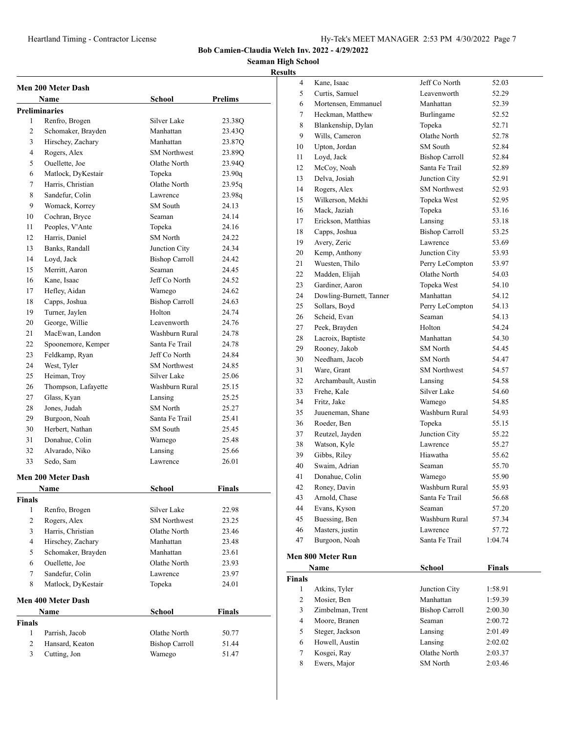#### **Seaman High School Results**

| <b>Men 200 Meter Dash</b><br>Name |                                         |                             |                  |  |
|-----------------------------------|-----------------------------------------|-----------------------------|------------------|--|
|                                   |                                         | School                      | <b>Prelims</b>   |  |
| <b>Preliminaries</b><br>1         |                                         | Silver Lake                 |                  |  |
| 2                                 | Renfro, Brogen                          | Manhattan                   | 23.38Q           |  |
| 3                                 | Schomaker, Brayden                      | Manhattan                   | 23.43Q<br>23.87Q |  |
| 4                                 | Hirschey, Zachary                       | <b>SM Northwest</b>         |                  |  |
|                                   | Rogers, Alex                            | Olathe North                | 23.89Q           |  |
| 5                                 | Ouellette, Joe                          |                             | 23.94Q           |  |
| 6                                 | Matlock, DyKestair<br>Harris, Christian | Topeka<br>Olathe North      | 23.90q           |  |
| 7                                 |                                         |                             | 23.95q           |  |
| 8                                 | Sandefur, Colin                         | Lawrence<br><b>SM</b> South | 23.98g<br>24.13  |  |
| 9                                 | Womack, Korrey                          |                             |                  |  |
| 10                                | Cochran, Bryce                          | Seaman                      | 24.14            |  |
| 11                                | Peoples, V'Ante                         | Topeka                      | 24.16            |  |
| 12                                | Harris, Daniel                          | <b>SM</b> North             | 24.22            |  |
| 13                                | Banks, Randall                          | Junction City               | 24.34            |  |
| 14                                | Loyd, Jack                              | <b>Bishop Carroll</b>       | 24.42            |  |
| 15                                | Merritt, Aaron                          | Seaman                      | 24.45            |  |
| 16                                | Kane, Isaac                             | Jeff Co North               | 24.52            |  |
| 17                                | Hefley, Aidan                           | Wamego                      | 24.62            |  |
| 18                                | Capps, Joshua                           | <b>Bishop Carroll</b>       | 24.63            |  |
| 19                                | Turner, Jaylen                          | Holton                      | 24.74            |  |
| 20                                | George, Willie                          | Leavenworth                 | 24.76            |  |
| 21                                | MacEwan, Landon                         | Washburn Rural              | 24.78            |  |
| 22                                | Spoonemore, Kemper                      | Santa Fe Trail              | 24.78            |  |
| 23                                | Feldkamp, Ryan                          | Jeff Co North               | 24.84            |  |
| 24                                | West, Tyler                             | <b>SM Northwest</b>         | 24.85            |  |
| 25                                | Heiman, Troy                            | Silver Lake                 | 25.06            |  |
| 26                                | Thompson, Lafayette                     | Washburn Rural              | 25.15            |  |
| 27                                | Glass, Kyan                             | Lansing                     | 25.25            |  |
| 28                                | Jones, Judah                            | <b>SM</b> North             | 25.27            |  |
| 29                                | Burgoon, Noah                           | Santa Fe Trail              | 25.41            |  |
| 30                                | Herbert, Nathan                         | SM South                    | 25.45            |  |
| 31                                | Donahue, Colin                          | Wamego                      | 25.48            |  |
| 32                                | Alvarado, Niko                          | Lansing                     | 25.66            |  |
| 33                                | Sedo, Sam                               | Lawrence                    | 26.01            |  |
|                                   | Men 200 Meter Dash                      |                             |                  |  |
|                                   | Name                                    | School                      | Finals           |  |
| Finals                            |                                         |                             |                  |  |
| 1                                 | Renfro, Brogen                          | Silver Lake                 | 22.98            |  |
| $\overline{2}$                    | Rogers, Alex                            | <b>SM Northwest</b>         | 23.25            |  |
| 3                                 | Harris, Christian                       | Olathe North                | 23.46            |  |
| $\overline{4}$                    | Hirschey, Zachary                       | Manhattan                   | 23.48            |  |
| 5                                 | Schomaker, Brayden                      | Manhattan                   | 23.61            |  |
| 6                                 | Ouellette, Joe                          | Olathe North                | 23.93            |  |
| 7                                 | Sandefur, Colin                         | Lawrence                    | 23.97            |  |
| 8                                 | Matlock, DyKestair                      | Topeka                      | 24.01            |  |
|                                   | <b>Men 400 Meter Dash</b>               |                             |                  |  |
|                                   | Name                                    | School                      | Finals           |  |
| <b>Finals</b>                     |                                         |                             |                  |  |
| 1                                 | Parrish, Jacob                          | Olathe North                | 50.77            |  |
| 2                                 | Hansard, Keaton                         | <b>Bishop Carroll</b>       | 51.44            |  |
| 3                                 | Cutting, Jon                            | Wamego                      | 51.47            |  |
|                                   |                                         |                             |                  |  |

| 4  | Kane, Isaac             | Jeff Co North         | 52.03   |  |
|----|-------------------------|-----------------------|---------|--|
| 5  | Curtis, Samuel          | Leavenworth           | 52.29   |  |
| 6  | Mortensen, Emmanuel     | Manhattan             | 52.39   |  |
| 7  | Heckman, Matthew        | Burlingame            | 52.52   |  |
| 8  | Blankenship, Dylan      | Topeka                | 52.71   |  |
| 9  | Wills, Cameron          | Olathe North          | 52.78   |  |
| 10 | Upton, Jordan           | SM South              | 52.84   |  |
| 11 | Loyd, Jack              | <b>Bishop Carroll</b> | 52.84   |  |
| 12 | McCoy, Noah             | Santa Fe Trail        | 52.89   |  |
| 13 | Delva, Josiah           | Junction City         | 52.91   |  |
| 14 | Rogers, Alex            | <b>SM</b> Northwest   | 52.93   |  |
| 15 | Wilkerson, Mekhi        | Topeka West           | 52.95   |  |
| 16 | Mack, Jaziah            | Topeka                | 53.16   |  |
| 17 | Erickson, Matthias      | Lansing               | 53.18   |  |
| 18 | Capps, Joshua           | <b>Bishop Carroll</b> | 53.25   |  |
| 19 | Avery, Zeric            | Lawrence              | 53.69   |  |
| 20 | Kemp, Anthony           | Junction City         | 53.93   |  |
| 21 | Wuesten, Thilo          | Perry LeCompton       | 53.97   |  |
| 22 | Madden, Elijah          | Olathe North          | 54.03   |  |
| 23 | Gardiner, Aaron         | Topeka West           | 54.10   |  |
| 24 | Dowling-Burnett, Tanner | Manhattan             | 54.12   |  |
| 25 | Sollars, Boyd           | Perry LeCompton       | 54.13   |  |
| 26 | Scheid, Evan            | Seaman                | 54.13   |  |
| 27 | Peek, Brayden           | Holton                | 54.24   |  |
| 28 | Lacroix, Baptiste       | Manhattan             | 54.30   |  |
| 29 | Rooney, Jakob           | SM North              | 54.45   |  |
| 30 | Needham, Jacob          | <b>SM</b> North       | 54.47   |  |
| 31 | Ware, Grant             | <b>SM</b> Northwest   | 54.57   |  |
| 32 | Archambault, Austin     | Lansing               | 54.58   |  |
| 33 | Frehe, Kale             | Silver Lake           | 54.60   |  |
| 34 | Fritz, Jake             | Wamego                | 54.85   |  |
| 35 | Juueneman, Shane        | Washburn Rural        | 54.93   |  |
| 36 | Roeder, Ben             | Topeka                | 55.15   |  |
| 37 | Reutzel, Jayden         | Junction City         | 55.22   |  |
| 38 | Watson, Kyle            | Lawrence              | 55.27   |  |
| 39 | Gibbs, Riley            | Hiawatha              | 55.62   |  |
| 40 | Swaim, Adrian           | Seaman                | 55.70   |  |
| 41 | Donahue, Colin          | Wamego                | 55.90   |  |
| 42 | Roney, Davin            | Washburn Rural        | 55.93   |  |
| 43 | Arnold, Chase           | Santa Fe Trail        | 56.68   |  |
| 44 | Evans, Kyson            | Seaman                | 57.20   |  |
| 45 | Buessing, Ben           | Washburn Rural        | 57.34   |  |
| 46 | Masters, justin         | Lawrence              | 57.72   |  |
| 47 | Burgoon, Noah           | Santa Fe Trail        | 1:04.74 |  |
|    | Men 800 Meter Run       |                       |         |  |
|    |                         |                       |         |  |

| Name          |                  | School                | <b>Finals</b> |
|---------------|------------------|-----------------------|---------------|
| <b>Finals</b> |                  |                       |               |
| 1             | Atkins, Tyler    | Junction City         | 1:58.91       |
| 2             | Mosier, Ben      | Manhattan             | 1:59.39       |
| 3             | Zimbelman, Trent | <b>Bishop Carroll</b> | 2:00.30       |
| 4             | Moore, Branen    | Seaman                | 2:00.72       |
| 5             | Steger, Jackson  | Lansing               | 2:01.49       |
| 6             | Howell, Austin   | Lansing               | 2:02.02       |
| 7             | Kosgei, Ray      | Olathe North          | 2:03.37       |
| 8             | Ewers, Major     | <b>SM</b> North       | 2:03.46       |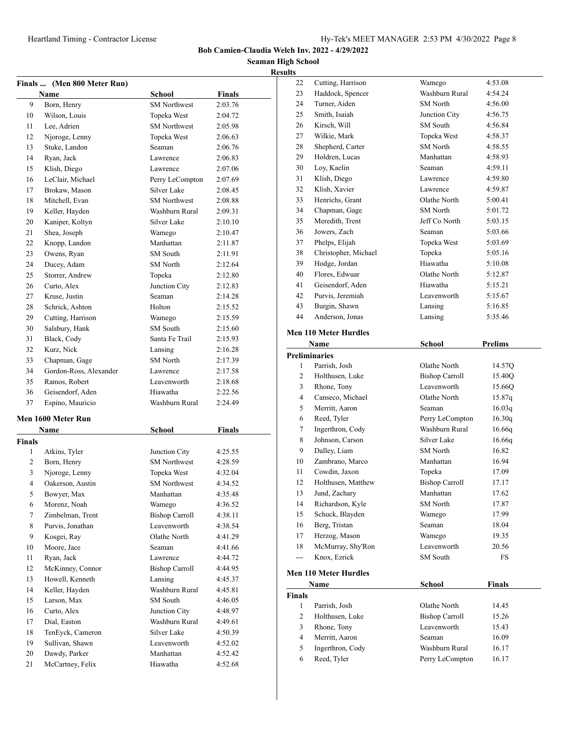**Seaman High School Results**

| Finals                   | (Men 800 Meter Run)    |                       |               |
|--------------------------|------------------------|-----------------------|---------------|
|                          | Name                   | School                | <b>Finals</b> |
| 9                        | Born, Henry            | <b>SM</b> Northwest   | 2:03.76       |
| 10                       | Wilson, Louis          | Topeka West           | 2:04.72       |
| 11                       | Lee, Adrien            | <b>SM</b> Northwest   | 2:05.98       |
| 12                       | Njoroge, Lenny         | Topeka West           | 2:06.63       |
| 13                       | Stuke, Landon          | Seaman                | 2:06.76       |
| 14                       | Ryan, Jack             | Lawrence              | 2:06.83       |
| 15                       | Klish, Diego           | Lawrence              | 2:07.06       |
| 16                       | LeClair, Michael       | Perry LeCompton       | 2:07.69       |
| 17                       | Brokaw, Mason          | Silver Lake           | 2:08.45       |
| 18                       | Mitchell, Evan         | <b>SM</b> Northwest   | 2:08.88       |
| 19                       | Keller, Hayden         | Washburn Rural        | 2:09.31       |
| 20                       | Kaniper, Koltyn        | Silver Lake           | 2:10.10       |
| 21                       | Shea, Joseph           | Wamego                | 2:10.47       |
| 22                       | Knopp, Landon          | Manhattan             | 2:11.87       |
| 23                       | Owens, Ryan            | <b>SM</b> South       | 2:11.91       |
| 24                       | Ducey, Adam            | <b>SM</b> North       | 2:12.64       |
| 25                       | Storrer, Andrew        | Topeka                | 2:12.80       |
| 26                       | Curto, Alex            | Junction City         | 2:12.83       |
| 27                       | Kruse, Justin          | Seaman                | 2:14.28       |
| 28                       | Schrick, Ashton        | Holton                | 2:15.52       |
| 29                       | Cutting, Harrison      | Wamego                | 2:15.59       |
| 30                       | Salsbury, Hank         | SM South              | 2:15.60       |
| 31                       | Black, Cody            | Santa Fe Trail        | 2:15.93       |
| 32                       | Kurz, Nick             | Lansing               | 2:16.28       |
| 33                       | Chapman, Gage          | SM North              | 2:17.39       |
| 34                       | Gordon-Ross, Alexander | Lawrence              | 2:17.58       |
| 35                       | Ramos, Robert          | Leavenworth           | 2:18.68       |
| 36                       | Geisendorf, Aden       | Hiawatha              | 2:22.56       |
| 37                       | Espino, Mauricio       | Washburn Rural        | 2:24.49       |
|                          |                        |                       |               |
|                          | Men 1600 Meter Run     |                       |               |
|                          | Name                   | School                | Finals        |
| Finals                   |                        |                       |               |
| 1                        | Atkins, Tyler          | Junction City         | 4:25.55       |
| 2                        | Born, Henry            | <b>SM Northwest</b>   | 4:28.59       |
| 3                        | Njoroge, Lenny         | Topeka West           | 4:32.04       |
| $\overline{\mathcal{L}}$ | Oakerson, Austin       | <b>SM</b> Northwest   | 4:34.52       |
| 5                        | Bowyer, Max            | Manhattan             | 4:35.48       |
| 6                        | Morenz, Noah           | Wamego                | 4:36.52       |
| 7                        | Zimbelman, Trent       | <b>Bishop Carroll</b> | 4:38.11       |
| 8                        | Purvis, Jonathan       | Leavenworth           | 4:38.54       |
| 9                        | Kosgei, Ray            | Olathe North          | 4:41.29       |
| 10                       | Moore, Jace            | Seaman                | 4:41.66       |
| 11                       | Ryan, Jack             | Lawrence              | 4:44.72       |
| 12                       | McKinney, Connor       | <b>Bishop Carroll</b> | 4:44.95       |
| 13                       | Howell, Kenneth        | Lansing               | 4:45.37       |
| 14                       | Keller, Hayden         | Washburn Rural        | 4:45.81       |
| 15                       | Larson, Max            | SM South              | 4:46.05       |
| 16                       | Curto, Alex            | Junction City         | 4:48.97       |
| 17                       | Dial, Easton           | Washburn Rural        | 4:49.61       |
| 18                       | TenEyck, Cameron       | Silver Lake           | 4:50.39       |
| 19                       | Sullivan, Shawn        | Leavenworth           | 4:52.02       |
| 20                       | Dawdy, Parker          | Manhattan             | 4:52.42       |
| 21                       | McCartney, Felix       | Hiawatha              | 4:52.68       |
|                          |                        |                       |               |

| 22             | Cutting, Harrison               | Wamego                | 4:53.08       |
|----------------|---------------------------------|-----------------------|---------------|
| 23             | Haddock, Spencer                | Washburn Rural        | 4:54.24       |
| 24             | Turner, Aiden                   | <b>SM</b> North       | 4:56.00       |
| 25             | Smith, Isaiah                   | Junction City         | 4:56.75       |
| 26             | Kirsch, Will                    | SM South              | 4:56.84       |
| 27             | Wilkie, Mark                    | Topeka West           | 4:58.37       |
| 28             | Shepherd, Carter                | SM North              | 4:58.55       |
| 29             | Holdren, Lucas                  | Manhattan             | 4:58.93       |
| 30             | Loy, Kaelin                     | Seaman                | 4:59.11       |
| 31             | Klish, Diego                    | Lawrence              | 4:59.80       |
| 32             | Klish, Xavier                   | Lawrence              |               |
|                |                                 |                       | 4:59.87       |
| 33             | Henrichs, Grant                 | Olathe North          | 5:00.41       |
| 34             | Chapman, Gage                   | SM North              | 5:01.72       |
| 35             | Meredith, Trent                 | Jeff Co North         | 5:03.15       |
| 36             | Jowers, Zach                    | Seaman                | 5:03.66       |
| 37             | Phelps, Elijah                  | Topeka West           | 5:03.69       |
| 38             | Christopher, Michael            | Topeka                | 5:05.16       |
| 39             | Hodge, Jordan                   | Hiawatha              | 5:10.08       |
| 40             | Flores, Edwuar                  | Olathe North          | 5:12.87       |
| 41             | Geisendorf, Aden                | Hiawatha              | 5:15.21       |
| 42             | Purvis, Jeremiah                | Leavenworth           | 5:15.67       |
| 43             | Burgin, Shawn                   | Lansing               | 5:16.85       |
| 44             | Anderson, Jonas                 | Lansing               | 5:35.46       |
|                | <b>Men 110 Meter Hurdles</b>    |                       |               |
|                | <b>Name</b>                     | <b>School</b>         | Prelims       |
|                | <b>Preliminaries</b>            |                       |               |
| 1              | Parrish, Josh                   | Olathe North          | 14.57Q        |
| 2              | Holthusen, Luke                 | <b>Bishop Carroll</b> | 15.40Q        |
|                |                                 |                       |               |
|                |                                 |                       |               |
| 3              | Rhone, Tony                     | Leavenworth           | 15.66Q        |
| $\overline{4}$ | Canseco, Michael                | Olathe North          | 15.87q        |
| 5              | Merritt, Aaron                  | Seaman                | 16.03q        |
| 6              | Reed, Tyler                     | Perry LeCompton       | 16.30q        |
| 7              | Ingerthron, Cody                | Washburn Rural        | 16.66q        |
| 8              | Johnson, Carson                 | Silver Lake           | 16.66q        |
| 9              | Dalley, Liam                    | SM North              | 16.82         |
| 10             | Zambrano, Marco                 | Manhattan             | 16.94         |
| 11             | Cowdin, Jaxon                   | Topeka                | 17.09         |
| 12             | Holthusen, Matthew              | <b>Bishop Carroll</b> | 17.17         |
| 13             | Jund, Zachary                   | Manhattan             | 17.62         |
| 14             | Richardson, Kyle                | SM North              | 17.87         |
| 15             | Schuck, Blayden                 | Wamego                | 17.99         |
| 16             | Berg, Tristan                   | Seaman                | 18.04         |
| 17             | Herzog, Mason                   | Wamego                | 19.35         |
| 18             | McMurray, Shy'Ron               | Leavenworth           | 20.56         |
| ---            | Knox, Ezrick                    | SM South              | FS            |
|                | <b>Men 110 Meter Hurdles</b>    |                       |               |
|                | Name                            | School                | <b>Finals</b> |
| Finals         |                                 |                       |               |
| 1              | Parrish, Josh                   | Olathe North          | 14.45         |
| 2              | Holthusen, Luke                 | <b>Bishop Carroll</b> | 15.26         |
| 3              | Rhone, Tony                     | Leavenworth           | 15.43         |
| $\overline{4}$ | Merritt, Aaron                  | Seaman                | 16.09         |
| 5              |                                 | Washburn Rural        | 16.17         |
| 6              | Ingerthron, Cody<br>Reed, Tyler |                       | 16.17         |
|                |                                 | Perry LeCompton       |               |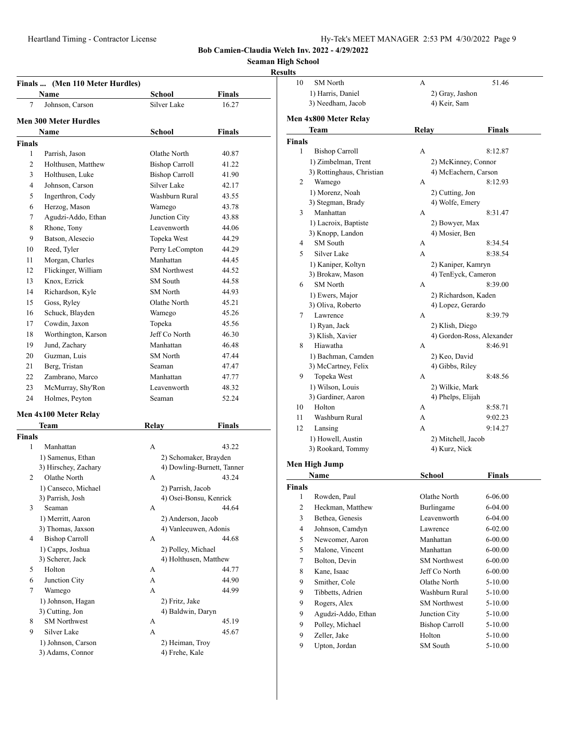10 SM North A 51.46

**Bob Camien-Claudia Welch Inv. 2022 - 4/29/2022**

**Seaman High School**

## **Results**

| Finals  (Men 110 Meter Hurdles)        |                                                                                              | Finals                                                                  |
|----------------------------------------|----------------------------------------------------------------------------------------------|-------------------------------------------------------------------------|
| 7<br>Johnson, Carson                   | Silver Lake                                                                                  | 16.27                                                                   |
|                                        |                                                                                              |                                                                         |
|                                        |                                                                                              | Finals                                                                  |
| <b>Finals</b>                          |                                                                                              |                                                                         |
| 1<br>Parrish, Jason                    | Olathe North                                                                                 | 40.87                                                                   |
| 2<br>Holthusen, Matthew                | <b>Bishop Carroll</b>                                                                        | 41.22                                                                   |
| 3<br>Holthusen, Luke                   | <b>Bishop Carroll</b>                                                                        | 41.90                                                                   |
| Johnson, Carson<br>4                   | Silver Lake                                                                                  | 42.17                                                                   |
| 5<br>Ingerthron, Cody                  | Washburn Rural                                                                               | 43.55                                                                   |
| Herzog, Mason<br>6                     | Wamego                                                                                       | 43.78                                                                   |
| 7<br>Agudzi-Addo, Ethan                | Junction City                                                                                | 43.88                                                                   |
| 8<br>Rhone, Tony                       | Leavenworth                                                                                  | 44.06                                                                   |
| 9<br>Batson, Alesecio                  | Topeka West                                                                                  | 44.29                                                                   |
| 10<br>Reed, Tyler                      | Perry LeCompton                                                                              | 44.29                                                                   |
| Morgan, Charles                        | Manhattan                                                                                    | 44.45                                                                   |
| Flickinger, William<br>12              | <b>SM Northwest</b>                                                                          | 44.52                                                                   |
| 13<br>Knox, Ezrick                     | SM South                                                                                     | 44.58                                                                   |
| Richardson, Kyle<br>14                 | SM North                                                                                     | 44.93                                                                   |
| Goss, Ryley<br>15                      | Olathe North                                                                                 | 45.21                                                                   |
| 16<br>Schuck, Blayden                  | Wamego                                                                                       | 45.26                                                                   |
| 17<br>Cowdin, Jaxon                    | Topeka                                                                                       | 45.56                                                                   |
| 18<br>Worthington, Karson              | Jeff Co North                                                                                | 46.30                                                                   |
| 19<br>Jund, Zachary                    | Manhattan                                                                                    | 46.48                                                                   |
| 20<br>Guzman, Luis                     | SM North                                                                                     | 47.44                                                                   |
| 21<br>Berg, Tristan                    | Seaman                                                                                       | 47.47                                                                   |
| 22<br>Zambrano, Marco                  | Manhattan                                                                                    | 47.77                                                                   |
| 23<br>McMurray, Shy'Ron                | Leavenworth                                                                                  | 48.32                                                                   |
| 24<br>Holmes, Peyton                   | Seaman                                                                                       | 52.24                                                                   |
|                                        |                                                                                              |                                                                         |
| Team                                   | <b>Relay</b>                                                                                 | <b>Finals</b>                                                           |
| <b>Finals</b>                          |                                                                                              |                                                                         |
| 1<br>Manhattan                         | A                                                                                            | 43.22                                                                   |
| 1) Samenus, Ethan                      |                                                                                              |                                                                         |
| 3) Hirschey, Zachary                   |                                                                                              |                                                                         |
| Olathe North<br>2                      | А                                                                                            | 43.24                                                                   |
|                                        | 2) Parrish, Jacob                                                                            |                                                                         |
|                                        |                                                                                              |                                                                         |
| 3) Parrish, Josh                       | 4) Osei-Bonsu, Kenrick                                                                       |                                                                         |
| 3<br>Seaman                            | А                                                                                            | 44.64                                                                   |
| 1) Merritt, Aaron                      | 2) Anderson, Jacob                                                                           |                                                                         |
| 3) Thomas, Jaxson                      | 4) Vanleeuwen, Adonis                                                                        |                                                                         |
| 4<br><b>Bishop Carroll</b>             | А                                                                                            | 44.68                                                                   |
| 1) Capps, Joshua                       | 2) Polley, Michael                                                                           |                                                                         |
| 3) Scherer, Jack                       | 4) Holthusen, Matthew                                                                        |                                                                         |
| Holton<br>5                            | А                                                                                            | 44.77                                                                   |
| Junction City<br>6                     | А                                                                                            | 44.90                                                                   |
| 7<br>Wamego                            | A                                                                                            | 44.99                                                                   |
| 1) Johnson, Hagan                      | 2) Fritz, Jake                                                                               |                                                                         |
| 3) Cutting, Jon                        | 4) Baldwin, Daryn                                                                            |                                                                         |
| <b>SM Northwest</b><br>8               | А                                                                                            | 45.19                                                                   |
| 9<br>Silver Lake<br>1) Johnson, Carson | А<br>2) Heiman, Troy                                                                         | 45.67                                                                   |
|                                        | Name<br><b>Men 300 Meter Hurdles</b><br>Name<br>Men 4x100 Meter Relay<br>1) Canseco, Michael | School<br>School<br>2) Schomaker, Brayden<br>4) Dowling-Burnett, Tanner |

|              | 1) Harris, Daniel         | 2) Gray, Jashon       |                           |
|--------------|---------------------------|-----------------------|---------------------------|
|              | 3) Needham, Jacob         | 4) Keir, Sam          |                           |
|              |                           |                       |                           |
|              | Men 4x800 Meter Relay     |                       |                           |
|              | Team                      | Relay                 | Finals                    |
| Finals       |                           |                       |                           |
| 1            | <b>Bishop Carroll</b>     | А                     | 8:12.87                   |
|              | 1) Zimbelman, Trent       | 2) McKinney, Connor   |                           |
|              | 3) Rottinghaus, Christian | 4) McEachern, Carson  |                           |
| 2            | Wamego                    | А                     | 8:12.93                   |
|              | 1) Morenz, Noah           | 2) Cutting, Jon       |                           |
|              | 3) Stegman, Brady         | 4) Wolfe, Emery       |                           |
| 3            | Manhattan                 | А                     | 8:31.47                   |
|              | 1) Lacroix, Baptiste      | 2) Bowyer, Max        |                           |
|              | 3) Knopp, Landon          | 4) Mosier, Ben        |                           |
| 4            | <b>SM</b> South           | А                     | 8:34.54                   |
| 5            | Silver Lake               | A                     | 8:38.54                   |
|              | 1) Kaniper, Koltyn        | 2) Kaniper, Kamryn    |                           |
|              | 3) Brokaw, Mason          | 4) TenEyck, Cameron   |                           |
| 6            | <b>SM</b> North           | А                     | 8:39.00                   |
|              | 1) Ewers, Major           | 2) Richardson, Kaden  |                           |
|              | 3) Oliva, Roberto         | 4) Lopez, Gerardo     |                           |
| 7            | Lawrence                  | А                     | 8:39.79                   |
|              | 1) Ryan, Jack             | 2) Klish, Diego       |                           |
|              | 3) Klish, Xavier          |                       | 4) Gordon-Ross, Alexander |
| 8            | Hiawatha                  | А                     | 8:46.91                   |
|              | 1) Bachman, Camden        | 2) Keo, David         |                           |
|              | 3) McCartney, Felix       | 4) Gibbs, Riley       |                           |
| 9            | Topeka West               | А                     | 8:48.56                   |
|              | 1) Wilson, Louis          | 2) Wilkie, Mark       |                           |
|              | 3) Gardiner, Aaron        | 4) Phelps, Elijah     |                           |
| 10           | Holton                    | А                     | 8:58.71                   |
| 11           | Washburn Rural            | А                     | 9:02.23                   |
| 12           | Lansing                   | A                     | 9:14.27                   |
|              | 1) Howell, Austin         | 2) Mitchell, Jacob    |                           |
|              | 3) Rookard, Tommy         | 4) Kurz, Nick         |                           |
|              |                           |                       |                           |
|              | Men High Jump             |                       |                           |
|              | Name                      | School                | Finals                    |
| Finals       |                           |                       |                           |
| 1            | Rowden, Paul              | Olathe North          | 6-06.00                   |
| $\mathbf{2}$ | Heckman, Matthew          | Burlingame            | 6-04.00                   |
| 3            | Bethea, Genesis           | Leavenworth           | 6-04.00                   |
| 4            | Johnson, Camdyn           | Lawrence              | $6 - 02.00$               |
| 5            | Newcomer, Aaron           | Manhattan             | $6 - 00.00$               |
| 5            | Malone, Vincent           | Manhattan             | $6 - 00.00$               |
| 7            | Bolton, Devin             | <b>SM Northwest</b>   | $6 - 00.00$               |
| 8            | Kane, Isaac               | Jeff Co North         | $6 - 00.00$               |
| 9            | Smither, Cole             | Olathe North          | 5-10.00                   |
| 9            | Tibbetts, Adrien          | Washburn Rural        | 5-10.00                   |
| 9            | Rogers, Alex              | <b>SM</b> Northwest   | 5-10.00                   |
| 9            | Agudzi-Addo, Ethan        | Junction City         | 5-10.00                   |
| 9            | Polley, Michael           | <b>Bishop Carroll</b> | 5-10.00                   |
|              | Zeller, Jake              | Holton                |                           |
| 9            |                           |                       | 5-10.00                   |
| 9            | Upton, Jordan             | SM South              | 5-10.00                   |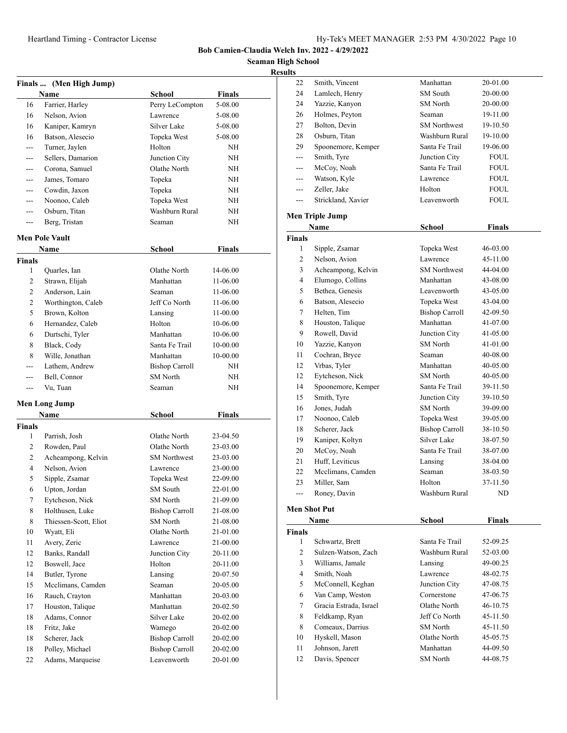22 Smith, Vincent Manhattan 20-01.00

**Bob Camien-Claudia Welch Inv. 2022 - 4/29/2022**

**High School Results**

|               |                         |                 |               | Seaman I |
|---------------|-------------------------|-----------------|---------------|----------|
|               |                         |                 |               | Re       |
|               | Finals  (Men High Jump) |                 |               |          |
|               | <b>Name</b>             | School          | <b>Finals</b> |          |
| 16            | Farrier, Harley         | Perry LeCompton | 5-08.00       |          |
| 16            | Nelson, Avion           | Lawrence        | 5-08.00       |          |
| 16            | Kaniper, Kamryn         | Silver Lake     | 5-08.00       |          |
| 16            | Batson, Alesecio        | Topeka West     | 5-08.00       |          |
|               | Turner, Jaylen          | Holton          | <b>NH</b>     |          |
|               | Sellers, Damarion       | Junction City   | <b>NH</b>     |          |
|               | Corona, Samuel          | Olathe North    | NH            |          |
|               | James, Tomaro           | Topeka          | <b>NH</b>     |          |
|               | Cowdin, Jaxon           | Topeka          | <b>NH</b>     |          |
|               | Noonoo, Caleb           | Topeka West     | NH            |          |
|               | Osburn, Titan           | Washburn Rural  | NH            |          |
|               | Berg, Tristan           | Seaman          | <b>NH</b>     |          |
|               | <b>Men Pole Vault</b>   |                 |               |          |
|               | Name                    | School          | <b>Finals</b> |          |
| <b>Finals</b> |                         |                 |               |          |
| 1             | Quarles, Ian            | Olathe North    | 14-06.00      |          |
| 2             | Strawn, Elijah          | Manhattan       | 11-06.00      |          |
| 2             | Anderson, Lain          | Seaman          | 11-06.00      |          |
| 2             | Worthington, Caleb      | Jeff Co North   | 11-06.00      |          |
| 5             | Brown, Kolton           | Lansing         | 11-00.00      |          |
| 6             | Hernandez, Caleb        | Holton          | 10-06.00      |          |
| 6             | Durtschi, Tyler         | Manhattan       | 10-06.00      |          |

8 Black, Cody Santa Fe Trail 10-00.00 Wille, Jonathan Manhattan 10-00.00 Lathem, Andrew Bishop Carroll NH --- Bell, Connor SM North NH Vu, Tuan Seaman Seaman NH

**Name** School **Finals** 

 Parrish, Josh Olathe North 23-04.50 Rowden, Paul Olathe North 23-03.00 Acheampong, Kelvin SM Northwest 23-03.00 Nelson, Avion Lawrence 23-00.00 Sipple, Zsamar Topeka West 22-09.00 Upton, Jordan SM South 22-01.00 Eytcheson, Nick SM North 21-09.00 Holthusen, Luke Bishop Carroll 21-08.00 Thiessen-Scott, Eliot SM North 21-08.00 Wyatt, Eli Olathe North 21-01.00 Avery, Zeric Lawrence 21-00.00 Banks, Randall Junction City 20-11.00 12 Boswell, Jace Holton 20-11.00 14 Butler, Tyrone Lansing 20-07.50 15 Mcclimans, Camden Seaman 20-05.00 Rauch, Crayton Manhattan 20-03.00 Houston, Talique Manhattan 20-02.50 18 Adams, Connor Silver Lake 20-02.00 Fritz, Jake Wamego 20-02.00 18 Scherer, Jack Bishop Carroll 20-02.00 18 Polley, Michael Bishop Carroll 20-02.00 Adams, Marqueise Leavenworth 20-01.00

**Men Long Jump**

**Finals**

| 24            | Lamlech, Henry         | SM South              | 20-00.00       |
|---------------|------------------------|-----------------------|----------------|
| 24            | Yazzie, Kanyon         | <b>SM</b> North       | 20-00.00       |
| 26            | Holmes, Peyton         | Seaman                | 19-11.00       |
| 27            | Bolton, Devin          | <b>SM</b> Northwest   | 19-10.50       |
| 28            | Osburn, Titan          | Washburn Rural        | 19-10.00       |
| 29            | Spoonemore, Kemper     | Santa Fe Trail        | 19-06.00       |
|               | Smith, Tyre            | Junction City         | FOUL           |
| ---           | McCoy, Noah            | Santa Fe Trail        | FOUL           |
| $---$         | Watson, Kyle           | Lawrence              | FOUL           |
| $---$         | Zeller, Jake           | Holton                | FOUL           |
| ---           | Strickland, Xavier     | Leavenworth           | <b>FOUL</b>    |
|               | <b>Men Triple Jump</b> |                       |                |
|               | Name                   | School                | Finals         |
| <b>Finals</b> |                        |                       |                |
| 1             | Sipple, Zsamar         | Topeka West           | 46-03.00       |
| 2             | Nelson, Avion          | Lawrence              | 45-11.00       |
| 3             | Acheampong, Kelvin     | <b>SM Northwest</b>   | 44-04.00       |
| 4             | Elumogo, Collins       | Manhattan             | 43-08.00       |
| 5             | Bethea, Genesis        | Leavenworth           | 43-05.00       |
| 6             | Batson, Alesecio       | Topeka West           | 43-04.00       |
| 7             | Helten, Tim            | <b>Bishop Carroll</b> | 42-09.50       |
| 8             | Houston, Talique       | Manhattan             | 41-07.00       |
| 9             | Rowell, David          | Junction City         | 41-05.00       |
| 10            | Yazzie, Kanyon         | <b>SM</b> North       | 41-01.00       |
| 11            | Cochran, Bryce         | Seaman                | 40-08.00       |
| 12            | Vrbas, Tyler           | Manhattan             | 40-05.00       |
| 12            | Eytcheson, Nick        | SM North              | 40-05.00       |
| 14            | Spoonemore, Kemper     | Santa Fe Trail        | 39-11.50       |
| 15            | Smith, Tyre            | Junction City         | 39-10.50       |
| 16            | Jones, Judah           | <b>SM</b> North       | 39-09.00       |
| 17            | Noonoo, Caleb          | Topeka West           | 39-05.00       |
| 18            | Scherer, Jack          | <b>Bishop Carroll</b> | 38-10.50       |
| 19            | Kaniper, Koltyn        | Silver Lake           | 38-07.50       |
| 20            | McCoy, Noah            | Santa Fe Trail        | 38-07.00       |
| 21            | Huff. Leviticus        | Lansing               | 38-04.00       |
| 22            | Mcclimans, Camden      | Seaman                | 38-03.50       |
| 23            | Miller, Sam            | Holton                | 37-11.50       |
| ---           | Roney, Davin           | Washburn Rural        | N <sub>D</sub> |
|               |                        |                       |                |

#### **Men Shot Put**

| Name          |                        | School          | <b>Finals</b> |  |
|---------------|------------------------|-----------------|---------------|--|
| <b>Finals</b> |                        |                 |               |  |
| 1             | Schwartz, Brett        | Santa Fe Trail  | 52-09.25      |  |
| 2             | Sulzen-Watson, Zach    | Washburn Rural  | 52-03.00      |  |
| 3             | Williams, Jamale       | Lansing         | 49-00.25      |  |
| 4             | Smith, Noah            | Lawrence        | 48-02.75      |  |
| 5             | McConnell, Keghan      | Junction City   | 47-08.75      |  |
| 6             | Van Camp, Weston       | Cornerstone     | 47-06.75      |  |
| 7             | Gracia Estrada, Israel | Olathe North    | 46-10.75      |  |
| 8             | Feldkamp, Ryan         | Jeff Co North   | 45-11.50      |  |
| 8             | Comeaux, Darrius       | <b>SM</b> North | 45-11.50      |  |
| 10            | Hyskell, Mason         | Olathe North    | 45-05.75      |  |
| 11            | Johnson, Jarett        | Manhattan       | 44-09.50      |  |
| 12            | Davis, Spencer         | <b>SM</b> North | 44-08.75      |  |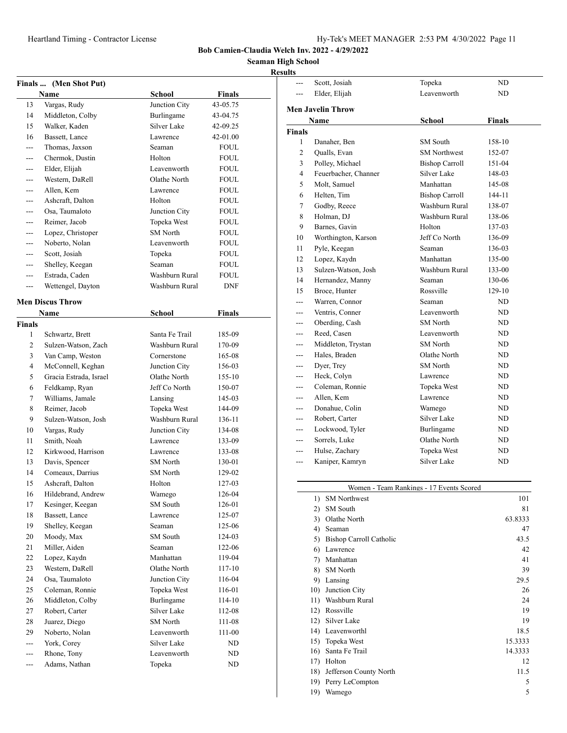**Seaman High School**

# **Results**

| Finals  (Men Shot Put) |                                    |                              |                  |  |
|------------------------|------------------------------------|------------------------------|------------------|--|
|                        | Name                               | School                       | <b>Finals</b>    |  |
| 13                     | Vargas, Rudy                       | Junction City                | 43-05.75         |  |
| 14                     | Middleton, Colby                   | Burlingame                   | 43-04.75         |  |
| 15                     | Walker, Kaden                      | Silver Lake                  | 42-09.25         |  |
| 16                     | Bassett, Lance                     | Lawrence                     | 42-01.00         |  |
| $- - -$                | Thomas, Jaxson                     | Seaman                       | <b>FOUL</b>      |  |
| ---                    | Chermok, Dustin                    | Holton                       | <b>FOUL</b>      |  |
| ---                    | Elder, Elijah                      | Leavenworth                  | <b>FOUL</b>      |  |
| $---$                  | Western, DaRell                    | Olathe North                 | <b>FOUL</b>      |  |
| ---                    | Allen, Kem                         | Lawrence                     | <b>FOUL</b>      |  |
|                        | Ashcraft, Dalton                   | Holton                       | <b>FOUL</b>      |  |
|                        | Osa, Taumaloto                     | Junction City                | <b>FOUL</b>      |  |
| ---                    | Reimer, Jacob                      | Topeka West                  | <b>FOUL</b>      |  |
| ---                    | Lopez, Christoper                  | <b>SM</b> North              | <b>FOUL</b>      |  |
| $---$                  | Noberto, Nolan                     | Leavenworth                  | <b>FOUL</b>      |  |
| ---                    | Scott, Josiah                      | Topeka                       | FOUL.            |  |
| ---                    | Shelley, Keegan                    | Seaman                       | <b>FOUL</b>      |  |
| $- - -$                | Estrada, Caden                     | Washburn Rural               | <b>FOUL</b>      |  |
| $- - -$                | Wettengel, Dayton                  | Washburn Rural               | <b>DNF</b>       |  |
|                        |                                    |                              |                  |  |
|                        | <b>Men Discus Throw</b>            |                              |                  |  |
|                        | Name                               | School                       | Finals           |  |
| <b>Finals</b>          |                                    |                              |                  |  |
| 1                      | Schwartz, Brett                    | Santa Fe Trail               | 185-09           |  |
| 2                      | Sulzen-Watson, Zach                | Washburn Rural               | 170-09           |  |
| 3                      | Van Camp, Weston                   | Cornerstone                  | 165-08           |  |
| 4                      | McConnell, Keghan                  | Junction City                | 156-03           |  |
| 5                      | Gracia Estrada, Israel             | Olathe North                 | 155-10           |  |
| 6                      | Feldkamp, Ryan                     | Jeff Co North                | 150-07           |  |
| 7                      | Williams, Jamale                   | Lansing                      | 145-03           |  |
| 8                      | Reimer, Jacob                      | Topeka West                  | 144-09           |  |
| 9                      | Sulzen-Watson, Josh                | Washburn Rural               | 136-11           |  |
| 10                     | Vargas, Rudy                       | Junction City                | 134-08           |  |
| 11                     | Smith, Noah                        | Lawrence                     | 133-09           |  |
| 12                     | Kirkwood, Harrison                 | Lawrence                     | 133-08           |  |
| 13                     | Davis, Spencer                     | <b>SM</b> North              | 130-01           |  |
| 14                     | Comeaux, Darrius                   | <b>SM</b> North              | 129-02           |  |
| 15                     | Ashcraft, Dalton                   | Holton                       | 127-03           |  |
| 16                     | Hildebrand, Andrew                 | Wamego                       | 126-04           |  |
| 17                     | Kesinger, Keegan<br>Bassett, Lance | SM South                     | 126-01           |  |
| 18                     | Shelley, Keegan                    | Lawrence                     | 125-07           |  |
| 19<br>20               | Moody, Max                         | Seaman<br>SM South           | 125-06           |  |
|                        | Miller, Aiden                      | Seaman                       | 124-03           |  |
| 21<br>22               | Lopez, Kaydn                       | Manhattan                    | 122-06           |  |
| 23                     | Western, DaRell                    | Olathe North                 | 119-04<br>117-10 |  |
|                        | Osa, Taumaloto                     |                              |                  |  |
| 24<br>25               | Coleman, Ronnie                    | Junction City<br>Topeka West | 116-04<br>116-01 |  |
| 26                     | Middleton, Colby                   | Burlingame                   | 114-10           |  |
| 27                     | Robert, Carter                     | Silver Lake                  | 112-08           |  |
| 28                     | Juarez, Diego                      | <b>SM</b> North              | 111-08           |  |
| 29                     | Noberto, Nolan                     | Leavenworth                  | 111-00           |  |
| ---                    | York, Corey                        | Silver Lake                  | ND               |  |
| ---                    | Rhone, Tony                        | Leavenworth                  | ND               |  |
| ---                    | Adams, Nathan                      | Topeka                       | ND               |  |
|                        |                                    |                              |                  |  |

| uns                                    |                          |                       |            |  |  |
|----------------------------------------|--------------------------|-----------------------|------------|--|--|
| ---                                    | Scott, Josiah            | Topeka                | ND         |  |  |
| Elder, Elijah                          |                          | Leavenworth<br>ND     |            |  |  |
|                                        | <b>Men Javelin Throw</b> |                       |            |  |  |
| Name<br><b>School</b><br><b>Finals</b> |                          |                       |            |  |  |
|                                        |                          |                       |            |  |  |
| <b>Finals</b><br>1                     | Danaher, Ben             | <b>SM</b> South       | 158-10     |  |  |
| 2                                      | Qualls, Evan             | <b>SM Northwest</b>   | 152-07     |  |  |
| 3                                      | Polley, Michael          | <b>Bishop Carroll</b> | $151 - 04$ |  |  |
| 4                                      | Feuerbacher, Channer     | Silver Lake           | 148-03     |  |  |
| 5                                      | Molt, Samuel             | Manhattan             | 145-08     |  |  |
| 6                                      | Helten, Tim              | <b>Bishop Carroll</b> | 144-11     |  |  |
| 7                                      | Godby, Reece             | Washburn Rural        | 138-07     |  |  |
| 8                                      | Holman, DJ               | Washburn Rural        | 138-06     |  |  |
| 9                                      | Barnes, Gavin            | Holton                | 137-03     |  |  |
| 10                                     | Worthington, Karson      | Jeff Co North         | 136-09     |  |  |
| 11                                     | Pyle, Keegan             | Seaman                | 136-03     |  |  |
| 12                                     | Lopez, Kaydn             | Manhattan             | 135-00     |  |  |
| 13                                     | Sulzen-Watson, Josh      | Washburn Rural        | 133-00     |  |  |
| 14                                     | Hernandez, Manny         | Seaman                | 130-06     |  |  |
| 15                                     | Broce, Hunter            | Rossville             | $129-10$   |  |  |
| ---                                    | Warren, Connor           | Seaman                | ND         |  |  |
| ---                                    | Ventris, Conner          | Leavenworth           | ND         |  |  |
| ---                                    | Oberding, Cash           | <b>SM</b> North       | ND.        |  |  |
| ---                                    | Reed, Casen              | Leavenworth           | ND         |  |  |
| ---                                    | Middleton, Trystan       | <b>SM</b> North       | ND         |  |  |
| ---                                    | Hales, Braden            | Olathe North          | ND         |  |  |
| ---                                    | Dyer, Trey               | <b>SM</b> North       | ND         |  |  |
| ---                                    | Heck, Colyn              | Lawrence              | ND         |  |  |
| ---                                    | Coleman, Ronnie          | Topeka West           | ND         |  |  |
| ---                                    | Allen, Kem               | Lawrence              | ND         |  |  |
|                                        | Donahue, Colin           | Wamego                | ND         |  |  |
|                                        | Robert, Carter           | Silver Lake           | ND         |  |  |
| ---                                    | Lockwood, Tyler          | Burlingame            | ND         |  |  |
| ---                                    | Sorrels, Luke            | Olathe North          | ND         |  |  |
| ---                                    | Hulse, Zachary           | Topeka West           | ND         |  |  |
| ---                                    | Kaniper, Kamryn          | Silver Lake           | ND.        |  |  |
|                                        |                          |                       |            |  |  |
|                                        |                          |                       |            |  |  |

| Women - Team Rankings - 17 Events Scored |                         |         |  |  |
|------------------------------------------|-------------------------|---------|--|--|
| $\left( \frac{1}{2} \right)$             | <b>SM</b> Northwest     | 101     |  |  |
| $\mathbf{2}$                             | SM South                | 81      |  |  |
| 3)                                       | Olathe North            | 63.8333 |  |  |
| 4)                                       | Seaman                  | 47      |  |  |
| 5)                                       | Bishop Carroll Catholic | 43.5    |  |  |
| 6)                                       | Lawrence                |         |  |  |
| 7)                                       | Manhattan               | 41      |  |  |
| 8)                                       | <b>SM</b> North         | 39      |  |  |
| 9)                                       | Lansing                 | 29.5    |  |  |
| 10)                                      | Junction City           | 26      |  |  |
| 11)                                      | Washburn Rural          | 24      |  |  |
| 12)                                      | Rossville               | 19      |  |  |
| 12)                                      | Silver Lake             | 19      |  |  |
| 14)                                      | Leavenworthl            | 18.5    |  |  |
| 15)                                      | Topeka West             | 15.3333 |  |  |
| 16)                                      | Santa Fe Trail          | 14.3333 |  |  |
| 17)                                      | Holton                  | 12      |  |  |
| 18)                                      | Jefferson County North  | 11.5    |  |  |
| 19)                                      | Perry LeCompton         | 5       |  |  |
| 19)                                      | Wamego                  | 5       |  |  |
|                                          |                         |         |  |  |